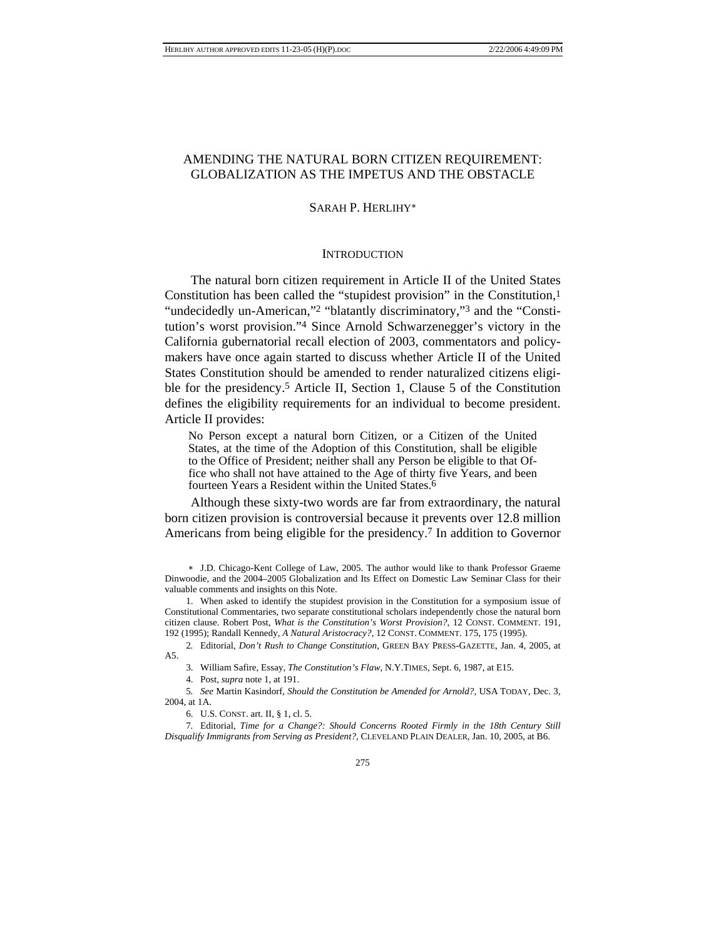# AMENDING THE NATURAL BORN CITIZEN REQUIREMENT: GLOBALIZATION AS THE IMPETUS AND THE OBSTACLE

# SARAH P. HERLIHY∗

## **INTRODUCTION**

The natural born citizen requirement in Article II of the United States Constitution has been called the "stupidest provision" in the Constitution,1 "undecidedly un-American,"2 "blatantly discriminatory,"3 and the "Constitution's worst provision."4 Since Arnold Schwarzenegger's victory in the California gubernatorial recall election of 2003, commentators and policymakers have once again started to discuss whether Article II of the United States Constitution should be amended to render naturalized citizens eligible for the presidency.5 Article II, Section 1, Clause 5 of the Constitution defines the eligibility requirements for an individual to become president. Article II provides:

No Person except a natural born Citizen, or a Citizen of the United States, at the time of the Adoption of this Constitution, shall be eligible to the Office of President; neither shall any Person be eligible to that Office who shall not have attained to the Age of thirty five Years, and been fourteen Years a Resident within the United States.6

Although these sixty-two words are far from extraordinary, the natural born citizen provision is controversial because it prevents over 12.8 million Americans from being eligible for the presidency.7 In addition to Governor

 1. When asked to identify the stupidest provision in the Constitution for a symposium issue of Constitutional Commentaries, two separate constitutional scholars independently chose the natural born citizen clause. Robert Post, *What is the Constitution's Worst Provision?*, 12 CONST. COMMENT. 191, 192 (1995); Randall Kennedy, *A Natural Aristocracy?*, 12 CONST. COMMENT. 175, 175 (1995).

2*.* Editorial, *Don't Rush to Change Constitution*, GREEN BAY PRESS-GAZETTE, Jan. 4, 2005, at A5.

3. William Safire, Essay, *The Constitution's Flaw*, N.Y.TIMES, Sept. 6, 1987, at E15.

4. Post, *supra* note 1, at 191.

5*. See* Martin Kasindorf, *Should the Constitution be Amended for Arnold?*, USA TODAY, Dec. 3, 2004, at 1A.

6. U.S. CONST. art. II, § 1, cl. 5.

7*.* Editorial, *Time for a Change?: Should Concerns Rooted Firmly in the 18th Century Still Disqualify Immigrants from Serving as President?*, CLEVELAND PLAIN DEALER, Jan. 10, 2005, at B6.

<sup>∗</sup> J.D. Chicago-Kent College of Law, 2005. The author would like to thank Professor Graeme Dinwoodie, and the 2004–2005 Globalization and Its Effect on Domestic Law Seminar Class for their valuable comments and insights on this Note.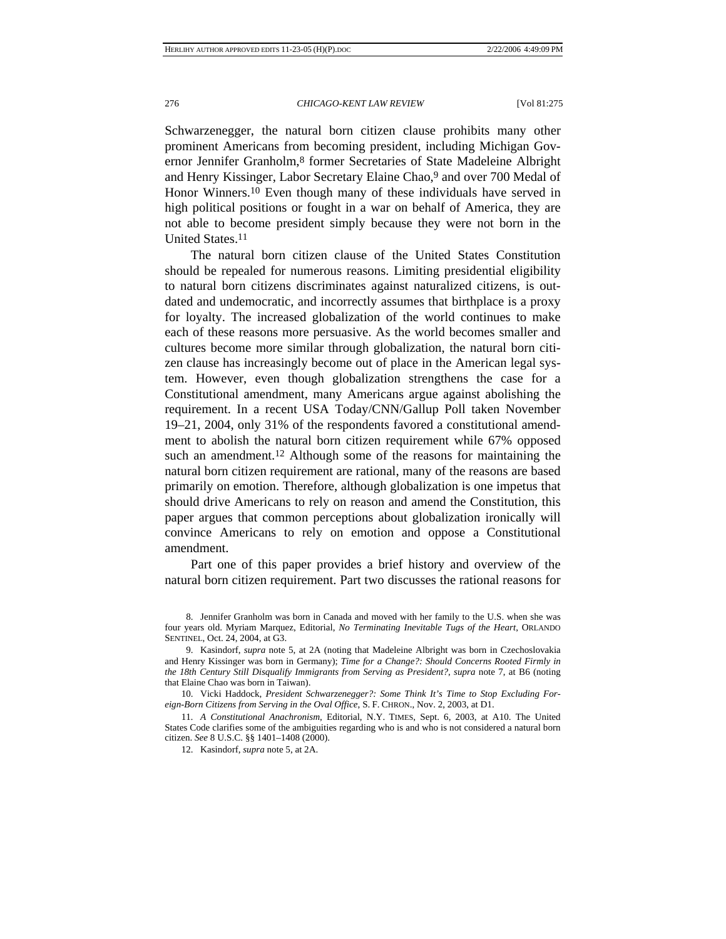Schwarzenegger, the natural born citizen clause prohibits many other prominent Americans from becoming president, including Michigan Governor Jennifer Granholm,8 former Secretaries of State Madeleine Albright and Henry Kissinger, Labor Secretary Elaine Chao,9 and over 700 Medal of Honor Winners.10 Even though many of these individuals have served in high political positions or fought in a war on behalf of America, they are not able to become president simply because they were not born in the United States.11

The natural born citizen clause of the United States Constitution should be repealed for numerous reasons. Limiting presidential eligibility to natural born citizens discriminates against naturalized citizens, is outdated and undemocratic, and incorrectly assumes that birthplace is a proxy for loyalty. The increased globalization of the world continues to make each of these reasons more persuasive. As the world becomes smaller and cultures become more similar through globalization, the natural born citizen clause has increasingly become out of place in the American legal system. However, even though globalization strengthens the case for a Constitutional amendment, many Americans argue against abolishing the requirement. In a recent USA Today/CNN/Gallup Poll taken November 19–21, 2004, only 31% of the respondents favored a constitutional amendment to abolish the natural born citizen requirement while 67% opposed such an amendment.<sup>12</sup> Although some of the reasons for maintaining the natural born citizen requirement are rational, many of the reasons are based primarily on emotion. Therefore, although globalization is one impetus that should drive Americans to rely on reason and amend the Constitution, this paper argues that common perceptions about globalization ironically will convince Americans to rely on emotion and oppose a Constitutional amendment.

Part one of this paper provides a brief history and overview of the natural born citizen requirement. Part two discusses the rational reasons for

 10. Vicki Haddock, *President Schwarzenegger?: Some Think It's Time to Stop Excluding Foreign-Born Citizens from Serving in the Oval Office*, S. F. CHRON., Nov. 2, 2003, at D1.

11*. A Constitutional Anachronism*, Editorial, N.Y. TIMES, Sept. 6, 2003, at A10. The United States Code clarifies some of the ambiguities regarding who is and who is not considered a natural born citizen. *See* 8 U.S.C. §§ 1401–1408 (2000).

12. Kasindorf, *supra* note 5, at 2A.

 <sup>8.</sup> Jennifer Granholm was born in Canada and moved with her family to the U.S. when she was four years old. Myriam Marquez, Editorial, *No Terminating Inevitable Tugs of the Heart*, ORLANDO SENTINEL, Oct. 24, 2004, at G3.

 <sup>9.</sup> Kasindorf, *supra* note 5, at 2A (noting that Madeleine Albright was born in Czechoslovakia and Henry Kissinger was born in Germany); *Time for a Change?: Should Concerns Rooted Firmly in the 18th Century Still Disqualify Immigrants from Serving as President?*, *supra* note 7, at B6 (noting that Elaine Chao was born in Taiwan).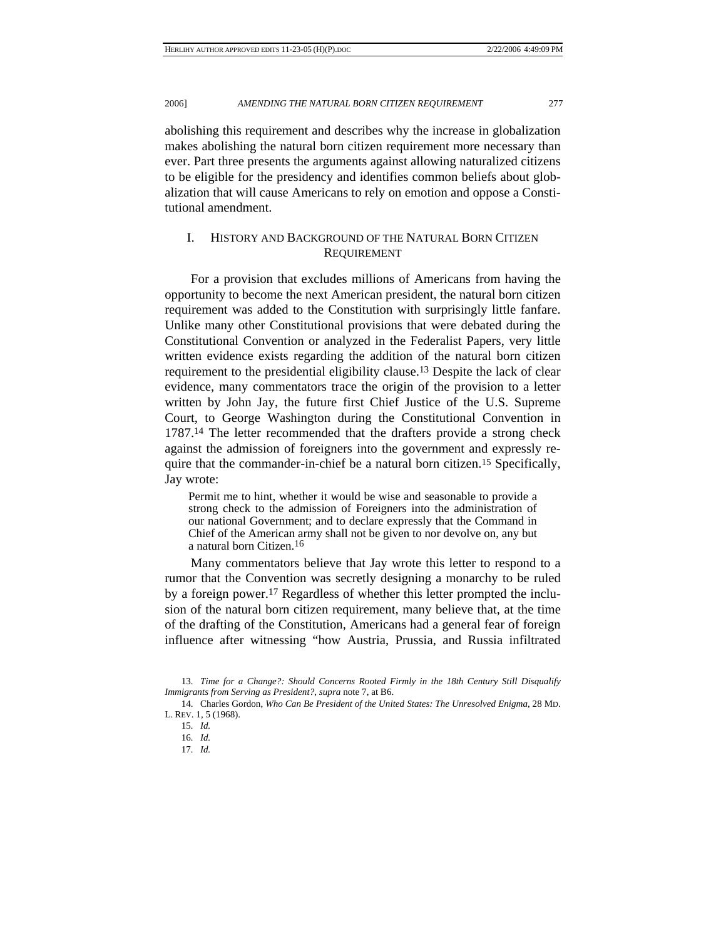abolishing this requirement and describes why the increase in globalization makes abolishing the natural born citizen requirement more necessary than ever. Part three presents the arguments against allowing naturalized citizens to be eligible for the presidency and identifies common beliefs about globalization that will cause Americans to rely on emotion and oppose a Constitutional amendment.

# I. HISTORY AND BACKGROUND OF THE NATURAL BORN CITIZEN REQUIREMENT

For a provision that excludes millions of Americans from having the opportunity to become the next American president, the natural born citizen requirement was added to the Constitution with surprisingly little fanfare. Unlike many other Constitutional provisions that were debated during the Constitutional Convention or analyzed in the Federalist Papers, very little written evidence exists regarding the addition of the natural born citizen requirement to the presidential eligibility clause.13 Despite the lack of clear evidence, many commentators trace the origin of the provision to a letter written by John Jay, the future first Chief Justice of the U.S. Supreme Court, to George Washington during the Constitutional Convention in 1787.14 The letter recommended that the drafters provide a strong check against the admission of foreigners into the government and expressly require that the commander-in-chief be a natural born citizen.<sup>15</sup> Specifically, Jay wrote:

Permit me to hint, whether it would be wise and seasonable to provide a strong check to the admission of Foreigners into the administration of our national Government; and to declare expressly that the Command in Chief of the American army shall not be given to nor devolve on, any but a natural born Citizen.16

Many commentators believe that Jay wrote this letter to respond to a rumor that the Convention was secretly designing a monarchy to be ruled by a foreign power.17 Regardless of whether this letter prompted the inclusion of the natural born citizen requirement, many believe that, at the time of the drafting of the Constitution, Americans had a general fear of foreign influence after witnessing "how Austria, Prussia, and Russia infiltrated

<sup>13</sup>*. Time for a Change?: Should Concerns Rooted Firmly in the 18th Century Still Disqualify Immigrants from Serving as President?*, *supra* note 7, at B6.

 <sup>14.</sup> Charles Gordon, *Who Can Be President of the United States: The Unresolved Enigma*, 28 MD. L. REV. 1, 5 (1968).

<sup>15</sup>*. Id.*

<sup>16</sup>*. Id.*

<sup>17</sup>*. Id.*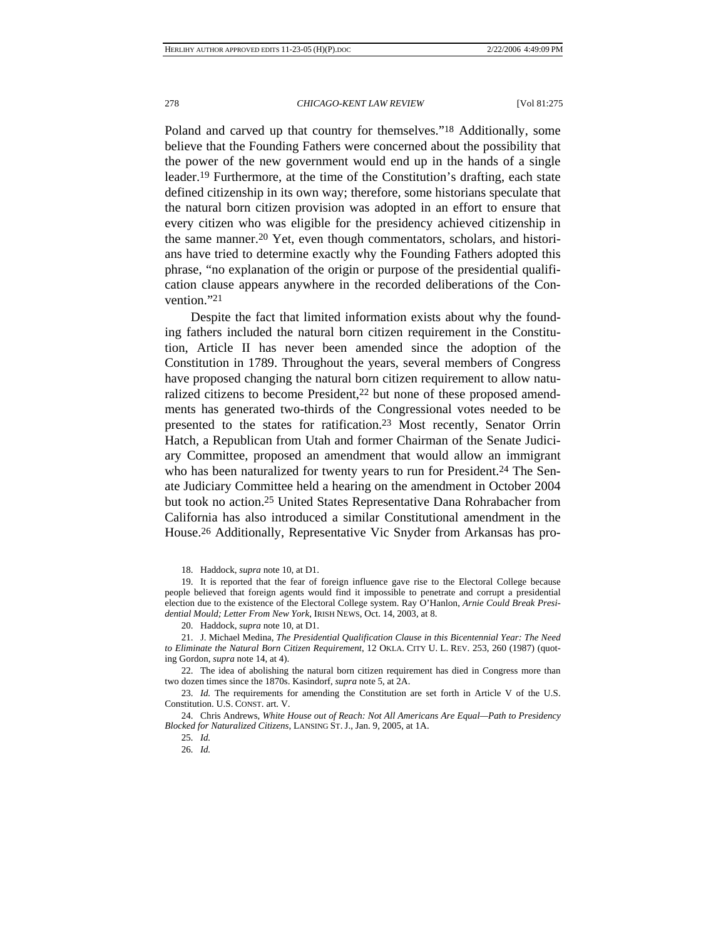Poland and carved up that country for themselves."18 Additionally, some believe that the Founding Fathers were concerned about the possibility that the power of the new government would end up in the hands of a single leader.19 Furthermore, at the time of the Constitution's drafting, each state defined citizenship in its own way; therefore, some historians speculate that the natural born citizen provision was adopted in an effort to ensure that every citizen who was eligible for the presidency achieved citizenship in the same manner.20 Yet, even though commentators, scholars, and historians have tried to determine exactly why the Founding Fathers adopted this phrase, "no explanation of the origin or purpose of the presidential qualification clause appears anywhere in the recorded deliberations of the Convention."21

Despite the fact that limited information exists about why the founding fathers included the natural born citizen requirement in the Constitution, Article II has never been amended since the adoption of the Constitution in 1789. Throughout the years, several members of Congress have proposed changing the natural born citizen requirement to allow naturalized citizens to become President,<sup>22</sup> but none of these proposed amendments has generated two-thirds of the Congressional votes needed to be presented to the states for ratification.23 Most recently, Senator Orrin Hatch, a Republican from Utah and former Chairman of the Senate Judiciary Committee, proposed an amendment that would allow an immigrant who has been naturalized for twenty years to run for President.<sup>24</sup> The Senate Judiciary Committee held a hearing on the amendment in October 2004 but took no action.25 United States Representative Dana Rohrabacher from California has also introduced a similar Constitutional amendment in the House.26 Additionally, Representative Vic Snyder from Arkansas has pro-

18. Haddock, *supra* note 10, at D1.

 19. It is reported that the fear of foreign influence gave rise to the Electoral College because people believed that foreign agents would find it impossible to penetrate and corrupt a presidential election due to the existence of the Electoral College system. Ray O'Hanlon, *Arnie Could Break Presidential Mould; Letter From New York*, IRISH NEWS, Oct. 14, 2003, at 8.

20. Haddock, *supra* note 10, at D1.

 21. J. Michael Medina, *The Presidential Qualification Clause in this Bicentennial Year: The Need to Eliminate the Natural Born Citizen Requirement*, 12 OKLA. CITY U. L. REV. 253, 260 (1987) (quoting Gordon, *supra* note 14, at 4).

 22. The idea of abolishing the natural born citizen requirement has died in Congress more than two dozen times since the 1870s. Kasindorf, *supra* note 5, at 2A.

 23. *Id.* The requirements for amending the Constitution are set forth in Article V of the U.S. Constitution. U.S. CONST. art. V.

 24. Chris Andrews, *White House out of Reach: Not All Americans Are Equal—Path to Presidency Blocked for Naturalized Citizens*, LANSING ST. J., Jan. 9, 2005, at 1A.

25*. Id.*

26*. Id.*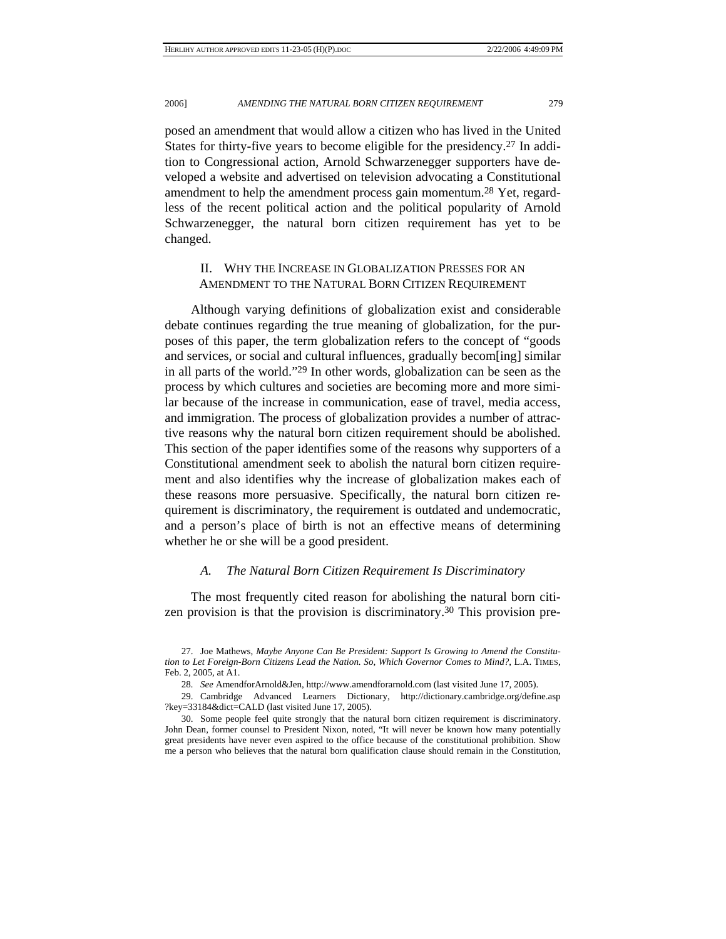posed an amendment that would allow a citizen who has lived in the United States for thirty-five years to become eligible for the presidency.27 In addition to Congressional action, Arnold Schwarzenegger supporters have developed a website and advertised on television advocating a Constitutional amendment to help the amendment process gain momentum.28 Yet, regardless of the recent political action and the political popularity of Arnold Schwarzenegger, the natural born citizen requirement has yet to be changed.

# II. WHY THE INCREASE IN GLOBALIZATION PRESSES FOR AN AMENDMENT TO THE NATURAL BORN CITIZEN REQUIREMENT

Although varying definitions of globalization exist and considerable debate continues regarding the true meaning of globalization, for the purposes of this paper, the term globalization refers to the concept of "goods and services, or social and cultural influences, gradually becom[ing] similar in all parts of the world."29 In other words, globalization can be seen as the process by which cultures and societies are becoming more and more similar because of the increase in communication, ease of travel, media access, and immigration. The process of globalization provides a number of attractive reasons why the natural born citizen requirement should be abolished. This section of the paper identifies some of the reasons why supporters of a Constitutional amendment seek to abolish the natural born citizen requirement and also identifies why the increase of globalization makes each of these reasons more persuasive. Specifically, the natural born citizen requirement is discriminatory, the requirement is outdated and undemocratic, and a person's place of birth is not an effective means of determining whether he or she will be a good president.

## *A. The Natural Born Citizen Requirement Is Discriminatory*

The most frequently cited reason for abolishing the natural born citizen provision is that the provision is discriminatory.30 This provision pre-

 <sup>27.</sup> Joe Mathews, *Maybe Anyone Can Be President: Support Is Growing to Amend the Constitution to Let Foreign-Born Citizens Lead the Nation. So, Which Governor Comes to Mind?*, L.A. TIMES, Feb. 2, 2005, at A1.

<sup>28</sup>*. See* AmendforArnold&Jen, http://www.amendforarnold.com (last visited June 17, 2005).

 <sup>29.</sup> Cambridge Advanced Learners Dictionary, http://dictionary.cambridge.org/define.asp ?key=33184&dict=CALD (last visited June 17, 2005).

 <sup>30.</sup> Some people feel quite strongly that the natural born citizen requirement is discriminatory. John Dean, former counsel to President Nixon, noted, "It will never be known how many potentially great presidents have never even aspired to the office because of the constitutional prohibition. Show me a person who believes that the natural born qualification clause should remain in the Constitution,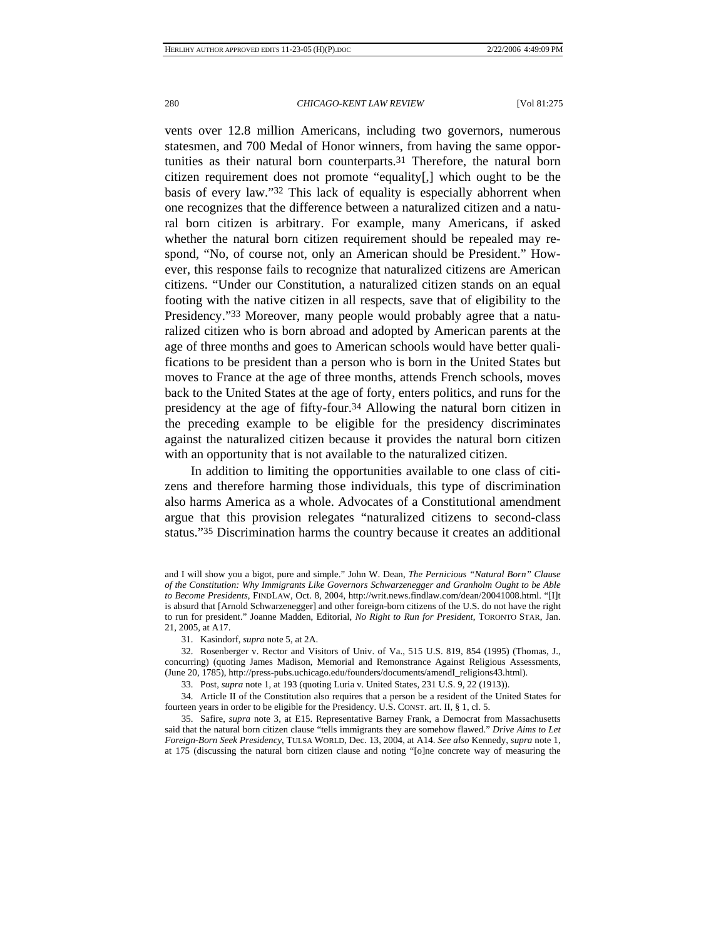vents over 12.8 million Americans, including two governors, numerous statesmen, and 700 Medal of Honor winners, from having the same opportunities as their natural born counterparts.31 Therefore, the natural born citizen requirement does not promote "equality[,] which ought to be the basis of every law."32 This lack of equality is especially abhorrent when one recognizes that the difference between a naturalized citizen and a natural born citizen is arbitrary. For example, many Americans, if asked whether the natural born citizen requirement should be repealed may respond, "No, of course not, only an American should be President." However, this response fails to recognize that naturalized citizens are American citizens. "Under our Constitution, a naturalized citizen stands on an equal footing with the native citizen in all respects, save that of eligibility to the Presidency."33 Moreover, many people would probably agree that a naturalized citizen who is born abroad and adopted by American parents at the age of three months and goes to American schools would have better qualifications to be president than a person who is born in the United States but moves to France at the age of three months, attends French schools, moves back to the United States at the age of forty, enters politics, and runs for the presidency at the age of fifty-four.34 Allowing the natural born citizen in the preceding example to be eligible for the presidency discriminates against the naturalized citizen because it provides the natural born citizen with an opportunity that is not available to the naturalized citizen.

In addition to limiting the opportunities available to one class of citizens and therefore harming those individuals, this type of discrimination also harms America as a whole. Advocates of a Constitutional amendment argue that this provision relegates "naturalized citizens to second-class status."35 Discrimination harms the country because it creates an additional

31. Kasindorf, *supra* note 5, at 2A.

 32. Rosenberger v. Rector and Visitors of Univ. of Va., 515 U.S. 819, 854 (1995) (Thomas, J., concurring) (quoting James Madison, Memorial and Remonstrance Against Religious Assessments, (June 20, 1785), http://press-pubs.uchicago.edu/founders/documents/amendI\_religions43.html).

33. Post, *supra* note 1, at 193 (quoting Luria v. United States, 231 U.S. 9, 22 (1913)).

 34. Article II of the Constitution also requires that a person be a resident of the United States for fourteen years in order to be eligible for the Presidency. U.S. CONST. art. II, § 1, cl. 5.

 35. Safire, *supra* note 3, at E15. Representative Barney Frank, a Democrat from Massachusetts said that the natural born citizen clause "tells immigrants they are somehow flawed." *Drive Aims to Let Foreign-Born Seek Presidency*, TULSA WORLD, Dec. 13, 2004, at A14. *See also* Kennedy, *supra* note 1, at 175 (discussing the natural born citizen clause and noting "[o]ne concrete way of measuring the

and I will show you a bigot, pure and simple." John W. Dean, *The Pernicious "Natural Born" Clause of the Constitution: Why Immigrants Like Governors Schwarzenegger and Granholm Ought to be Able to Become Presidents*, FINDLAW, Oct. 8, 2004, http://writ.news.findlaw.com/dean/20041008.html. "[I]t is absurd that [Arnold Schwarzenegger] and other foreign-born citizens of the U.S. do not have the right to run for president." Joanne Madden, Editorial, *No Right to Run for President*, TORONTO STAR, Jan. 21, 2005, at A17.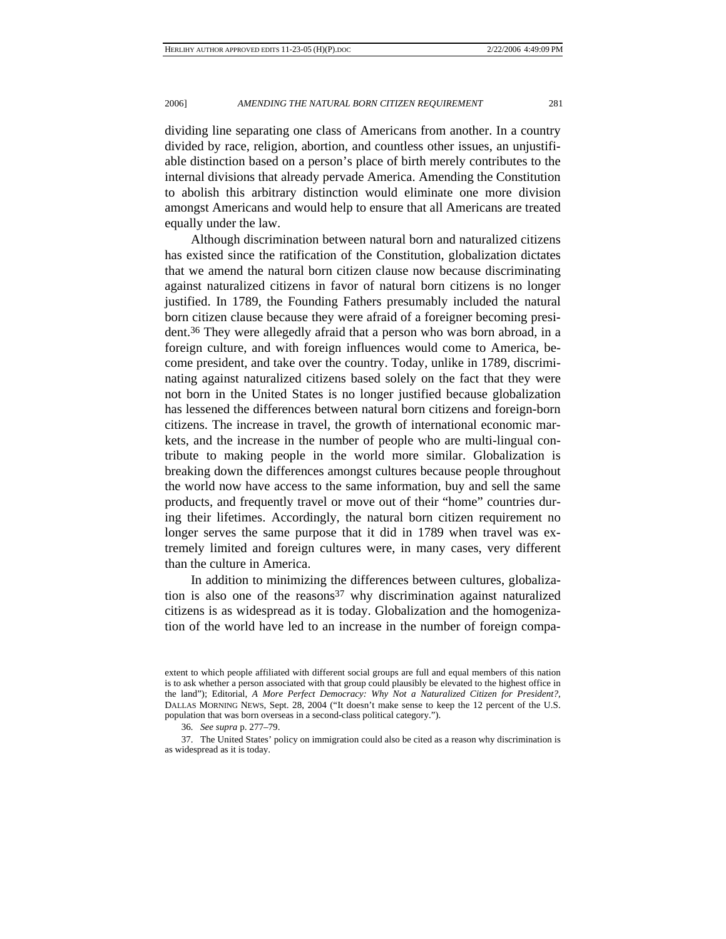dividing line separating one class of Americans from another. In a country divided by race, religion, abortion, and countless other issues, an unjustifiable distinction based on a person's place of birth merely contributes to the internal divisions that already pervade America. Amending the Constitution to abolish this arbitrary distinction would eliminate one more division amongst Americans and would help to ensure that all Americans are treated equally under the law.

Although discrimination between natural born and naturalized citizens has existed since the ratification of the Constitution, globalization dictates that we amend the natural born citizen clause now because discriminating against naturalized citizens in favor of natural born citizens is no longer justified. In 1789, the Founding Fathers presumably included the natural born citizen clause because they were afraid of a foreigner becoming president.36 They were allegedly afraid that a person who was born abroad, in a foreign culture, and with foreign influences would come to America, become president, and take over the country. Today, unlike in 1789, discriminating against naturalized citizens based solely on the fact that they were not born in the United States is no longer justified because globalization has lessened the differences between natural born citizens and foreign-born citizens. The increase in travel, the growth of international economic markets, and the increase in the number of people who are multi-lingual contribute to making people in the world more similar. Globalization is breaking down the differences amongst cultures because people throughout the world now have access to the same information, buy and sell the same products, and frequently travel or move out of their "home" countries during their lifetimes. Accordingly, the natural born citizen requirement no longer serves the same purpose that it did in 1789 when travel was extremely limited and foreign cultures were, in many cases, very different than the culture in America.

In addition to minimizing the differences between cultures, globalization is also one of the reasons $37$  why discrimination against naturalized citizens is as widespread as it is today. Globalization and the homogenization of the world have led to an increase in the number of foreign compa-

extent to which people affiliated with different social groups are full and equal members of this nation is to ask whether a person associated with that group could plausibly be elevated to the highest office in the land"); Editorial, *A More Perfect Democracy: Why Not a Naturalized Citizen for President?*, DALLAS MORNING NEWS, Sept. 28, 2004 ("It doesn't make sense to keep the 12 percent of the U.S. population that was born overseas in a second-class political category.").

<sup>36</sup>*. See supra* p. 277–79.

 <sup>37.</sup> The United States' policy on immigration could also be cited as a reason why discrimination is as widespread as it is today.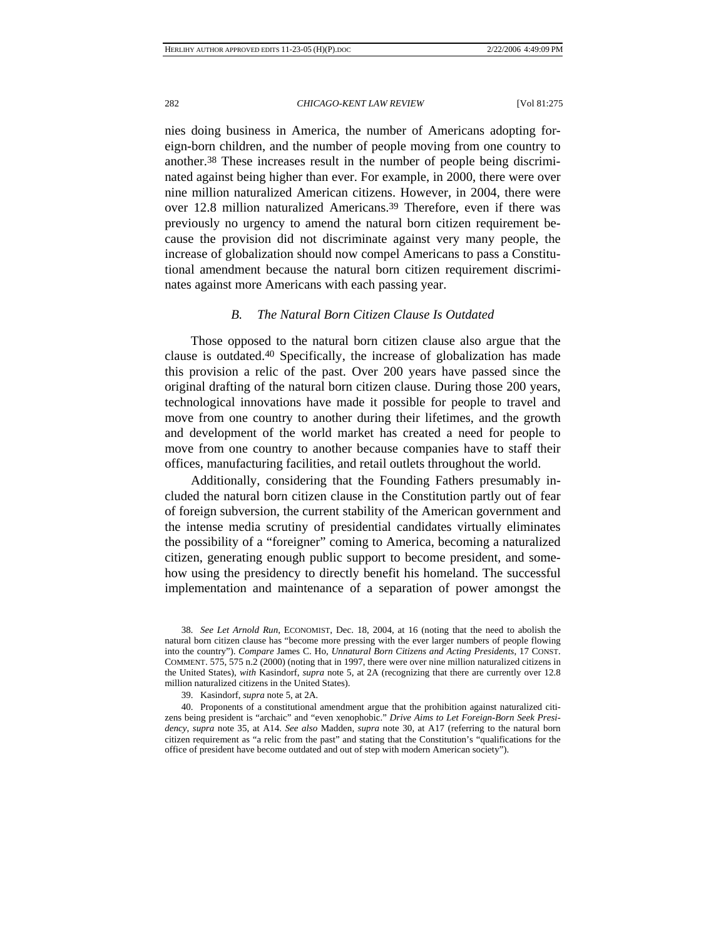nies doing business in America, the number of Americans adopting foreign-born children, and the number of people moving from one country to another.38 These increases result in the number of people being discriminated against being higher than ever. For example, in 2000, there were over nine million naturalized American citizens. However, in 2004, there were over 12.8 million naturalized Americans.39 Therefore, even if there was previously no urgency to amend the natural born citizen requirement because the provision did not discriminate against very many people, the increase of globalization should now compel Americans to pass a Constitutional amendment because the natural born citizen requirement discriminates against more Americans with each passing year.

## *B. The Natural Born Citizen Clause Is Outdated*

Those opposed to the natural born citizen clause also argue that the clause is outdated.40 Specifically, the increase of globalization has made this provision a relic of the past. Over 200 years have passed since the original drafting of the natural born citizen clause. During those 200 years, technological innovations have made it possible for people to travel and move from one country to another during their lifetimes, and the growth and development of the world market has created a need for people to move from one country to another because companies have to staff their offices, manufacturing facilities, and retail outlets throughout the world.

Additionally, considering that the Founding Fathers presumably included the natural born citizen clause in the Constitution partly out of fear of foreign subversion, the current stability of the American government and the intense media scrutiny of presidential candidates virtually eliminates the possibility of a "foreigner" coming to America, becoming a naturalized citizen, generating enough public support to become president, and somehow using the presidency to directly benefit his homeland. The successful implementation and maintenance of a separation of power amongst the

<sup>38</sup>*. See Let Arnold Run*, ECONOMIST, Dec. 18, 2004, at 16 (noting that the need to abolish the natural born citizen clause has "become more pressing with the ever larger numbers of people flowing into the country"). *Compare* James C. Ho, *Unnatural Born Citizens and Acting Presidents*, 17 CONST. COMMENT. 575, 575 n.2 (2000) (noting that in 1997, there were over nine million naturalized citizens in the United States), *with* Kasindorf, *supra* note 5, at 2A (recognizing that there are currently over 12.8 million naturalized citizens in the United States).

 <sup>39.</sup> Kasindorf, *supra* note 5, at 2A*.*

 <sup>40.</sup> Proponents of a constitutional amendment argue that the prohibition against naturalized citizens being president is "archaic" and "even xenophobic." *Drive Aims to Let Foreign-Born Seek Presidency*, *supra* note 35, at A14. *See also* Madden, *supra* note 30, at A17 (referring to the natural born citizen requirement as "a relic from the past" and stating that the Constitution's "qualifications for the office of president have become outdated and out of step with modern American society").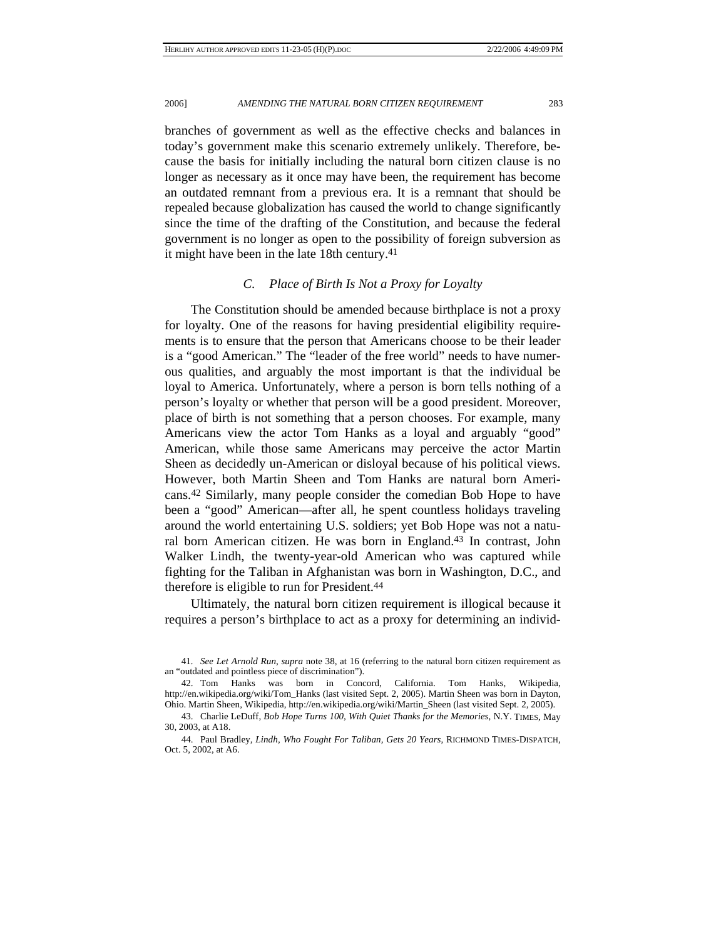branches of government as well as the effective checks and balances in today's government make this scenario extremely unlikely. Therefore, because the basis for initially including the natural born citizen clause is no longer as necessary as it once may have been, the requirement has become an outdated remnant from a previous era. It is a remnant that should be repealed because globalization has caused the world to change significantly since the time of the drafting of the Constitution, and because the federal government is no longer as open to the possibility of foreign subversion as it might have been in the late 18th century.41

## *C. Place of Birth Is Not a Proxy for Loyalty*

The Constitution should be amended because birthplace is not a proxy for loyalty. One of the reasons for having presidential eligibility requirements is to ensure that the person that Americans choose to be their leader is a "good American." The "leader of the free world" needs to have numerous qualities, and arguably the most important is that the individual be loyal to America. Unfortunately, where a person is born tells nothing of a person's loyalty or whether that person will be a good president. Moreover, place of birth is not something that a person chooses. For example, many Americans view the actor Tom Hanks as a loyal and arguably "good" American, while those same Americans may perceive the actor Martin Sheen as decidedly un-American or disloyal because of his political views. However, both Martin Sheen and Tom Hanks are natural born Americans.42 Similarly, many people consider the comedian Bob Hope to have been a "good" American—after all, he spent countless holidays traveling around the world entertaining U.S. soldiers; yet Bob Hope was not a natural born American citizen. He was born in England.43 In contrast, John Walker Lindh, the twenty-year-old American who was captured while fighting for the Taliban in Afghanistan was born in Washington, D.C., and therefore is eligible to run for President.44

Ultimately, the natural born citizen requirement is illogical because it requires a person's birthplace to act as a proxy for determining an individ-

<sup>41</sup>*. See Let Arnold Run*, *supra* note 38, at 16 (referring to the natural born citizen requirement as an "outdated and pointless piece of discrimination").

 <sup>42.</sup> Tom Hanks was born in Concord, California. Tom Hanks, Wikipedia, http://en.wikipedia.org/wiki/Tom\_Hanks (last visited Sept. 2, 2005). Martin Sheen was born in Dayton, Ohio. Martin Sheen, Wikipedia, http://en.wikipedia.org/wiki/Martin\_Sheen (last visited Sept. 2, 2005).

 <sup>43.</sup> Charlie LeDuff, *Bob Hope Turns 100, With Quiet Thanks for the Memories*, N.Y. TIMES, May 30, 2003, at A18.

 <sup>44.</sup> Paul Bradley, *Lindh, Who Fought For Taliban, Gets 20 Years*, RICHMOND TIMES-DISPATCH, Oct. 5, 2002, at A6.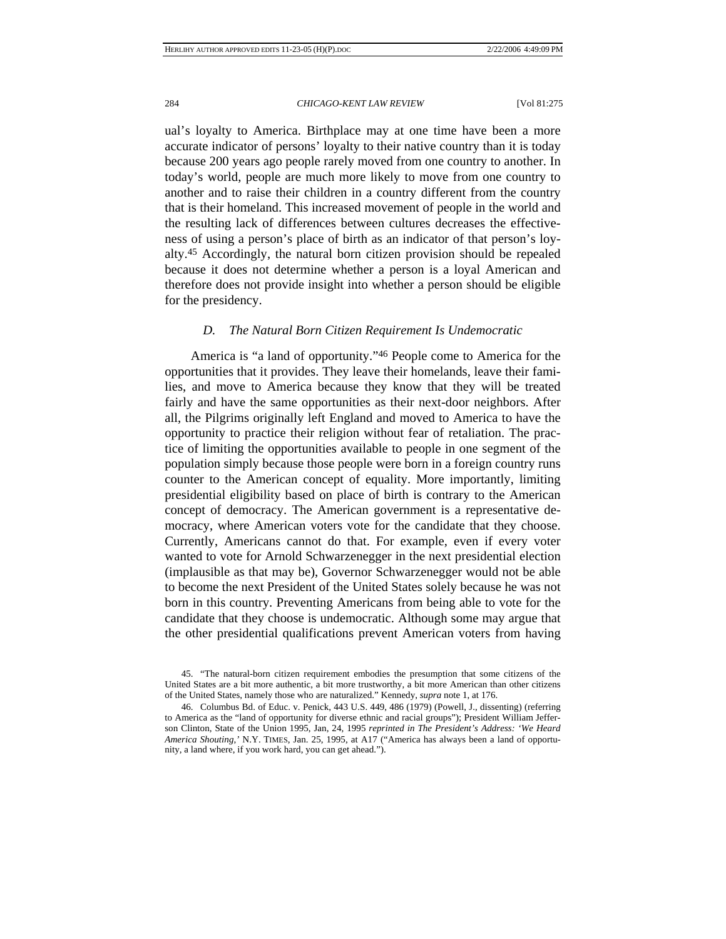ual's loyalty to America. Birthplace may at one time have been a more accurate indicator of persons' loyalty to their native country than it is today because 200 years ago people rarely moved from one country to another. In today's world, people are much more likely to move from one country to another and to raise their children in a country different from the country that is their homeland. This increased movement of people in the world and the resulting lack of differences between cultures decreases the effectiveness of using a person's place of birth as an indicator of that person's loyalty.45 Accordingly, the natural born citizen provision should be repealed because it does not determine whether a person is a loyal American and therefore does not provide insight into whether a person should be eligible for the presidency.

## *D. The Natural Born Citizen Requirement Is Undemocratic*

America is "a land of opportunity."46 People come to America for the opportunities that it provides. They leave their homelands, leave their families, and move to America because they know that they will be treated fairly and have the same opportunities as their next-door neighbors. After all, the Pilgrims originally left England and moved to America to have the opportunity to practice their religion without fear of retaliation. The practice of limiting the opportunities available to people in one segment of the population simply because those people were born in a foreign country runs counter to the American concept of equality. More importantly, limiting presidential eligibility based on place of birth is contrary to the American concept of democracy. The American government is a representative democracy, where American voters vote for the candidate that they choose. Currently, Americans cannot do that. For example, even if every voter wanted to vote for Arnold Schwarzenegger in the next presidential election (implausible as that may be), Governor Schwarzenegger would not be able to become the next President of the United States solely because he was not born in this country. Preventing Americans from being able to vote for the candidate that they choose is undemocratic. Although some may argue that the other presidential qualifications prevent American voters from having

 <sup>45. &</sup>quot;The natural-born citizen requirement embodies the presumption that some citizens of the United States are a bit more authentic, a bit more trustworthy, a bit more American than other citizens of the United States, namely those who are naturalized." Kennedy, *supra* note 1, at 176.

 <sup>46.</sup> Columbus Bd. of Educ. v. Penick, 443 U.S. 449, 486 (1979) (Powell, J., dissenting) (referring to America as the "land of opportunity for diverse ethnic and racial groups"); President William Jefferson Clinton, State of the Union 1995, Jan, 24, 1995 *reprinted in The President's Address: 'We Heard America Shouting*,*'* N.Y. TIMES, Jan. 25, 1995, at A17 ("America has always been a land of opportunity, a land where, if you work hard, you can get ahead.").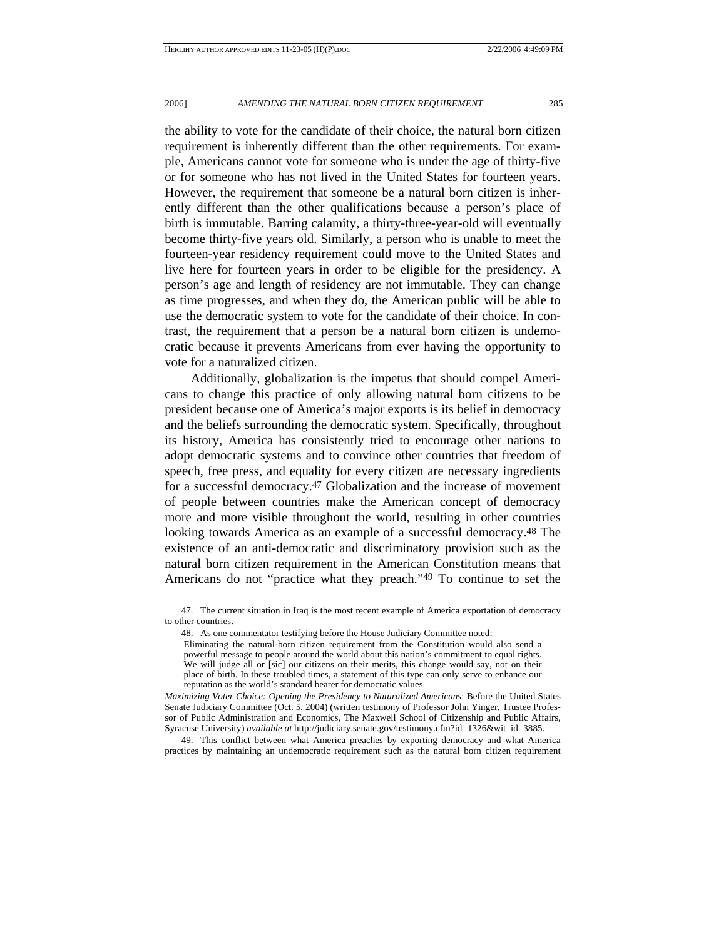the ability to vote for the candidate of their choice, the natural born citizen requirement is inherently different than the other requirements. For example, Americans cannot vote for someone who is under the age of thirty-five or for someone who has not lived in the United States for fourteen years. However, the requirement that someone be a natural born citizen is inherently different than the other qualifications because a person's place of birth is immutable. Barring calamity, a thirty-three-year-old will eventually become thirty-five years old. Similarly, a person who is unable to meet the fourteen-year residency requirement could move to the United States and live here for fourteen years in order to be eligible for the presidency. A person's age and length of residency are not immutable. They can change as time progresses, and when they do, the American public will be able to use the democratic system to vote for the candidate of their choice. In contrast, the requirement that a person be a natural born citizen is undemocratic because it prevents Americans from ever having the opportunity to vote for a naturalized citizen.

Additionally, globalization is the impetus that should compel Americans to change this practice of only allowing natural born citizens to be president because one of America's major exports is its belief in democracy and the beliefs surrounding the democratic system. Specifically, throughout its history, America has consistently tried to encourage other nations to adopt democratic systems and to convince other countries that freedom of speech, free press, and equality for every citizen are necessary ingredients for a successful democracy.47 Globalization and the increase of movement of people between countries make the American concept of democracy more and more visible throughout the world, resulting in other countries looking towards America as an example of a successful democracy.48 The existence of an anti-democratic and discriminatory provision such as the natural born citizen requirement in the American Constitution means that Americans do not "practice what they preach."49 To continue to set the

 47. The current situation in Iraq is the most recent example of America exportation of democracy to other countries.

48. As one commentator testifying before the House Judiciary Committee noted:

Eliminating the natural-born citizen requirement from the Constitution would also send a powerful message to people around the world about this nation's commitment to equal rights. We will judge all or [sic] our citizens on their merits, this change would say, not on their place of birth. In these troubled times, a statement of this type can only serve to enhance our reputation as the world's standard bearer for democratic values.

*Maximizing Voter Choice: Opening the Presidency to Naturalized Americans*: Before the United States Senate Judiciary Committee (Oct. 5, 2004) (written testimony of Professor John Yinger, Trustee Professor of Public Administration and Economics, The Maxwell School of Citizenship and Public Affairs, Syracuse University) *available at* http://judiciary.senate.gov/testimony.cfm?id=1326&wit\_id=3885.

 49. This conflict between what America preaches by exporting democracy and what America practices by maintaining an undemocratic requirement such as the natural born citizen requirement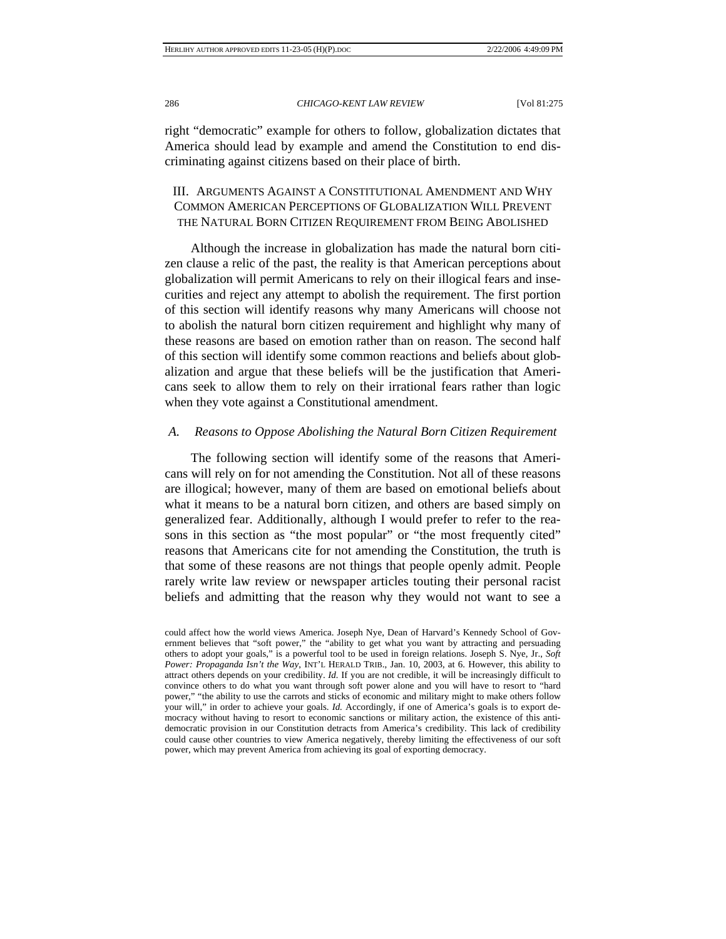right "democratic" example for others to follow, globalization dictates that America should lead by example and amend the Constitution to end discriminating against citizens based on their place of birth.

# III. ARGUMENTS AGAINST A CONSTITUTIONAL AMENDMENT AND WHY COMMON AMERICAN PERCEPTIONS OF GLOBALIZATION WILL PREVENT THE NATURAL BORN CITIZEN REQUIREMENT FROM BEING ABOLISHED

Although the increase in globalization has made the natural born citizen clause a relic of the past, the reality is that American perceptions about globalization will permit Americans to rely on their illogical fears and insecurities and reject any attempt to abolish the requirement. The first portion of this section will identify reasons why many Americans will choose not to abolish the natural born citizen requirement and highlight why many of these reasons are based on emotion rather than on reason. The second half of this section will identify some common reactions and beliefs about globalization and argue that these beliefs will be the justification that Americans seek to allow them to rely on their irrational fears rather than logic when they vote against a Constitutional amendment.

## *A. Reasons to Oppose Abolishing the Natural Born Citizen Requirement*

The following section will identify some of the reasons that Americans will rely on for not amending the Constitution. Not all of these reasons are illogical; however, many of them are based on emotional beliefs about what it means to be a natural born citizen, and others are based simply on generalized fear. Additionally, although I would prefer to refer to the reasons in this section as "the most popular" or "the most frequently cited" reasons that Americans cite for not amending the Constitution, the truth is that some of these reasons are not things that people openly admit. People rarely write law review or newspaper articles touting their personal racist beliefs and admitting that the reason why they would not want to see a

could affect how the world views America. Joseph Nye, Dean of Harvard's Kennedy School of Government believes that "soft power," the "ability to get what you want by attracting and persuading others to adopt your goals," is a powerful tool to be used in foreign relations. Joseph S. Nye, Jr., *Soft Power: Propaganda Isn't the Way*, INT'L HERALD TRIB., Jan. 10, 2003, at 6. However, this ability to attract others depends on your credibility. *Id.* If you are not credible, it will be increasingly difficult to convince others to do what you want through soft power alone and you will have to resort to "hard power," "the ability to use the carrots and sticks of economic and military might to make others follow your will," in order to achieve your goals. *Id.* Accordingly, if one of America's goals is to export democracy without having to resort to economic sanctions or military action, the existence of this antidemocratic provision in our Constitution detracts from America's credibility. This lack of credibility could cause other countries to view America negatively, thereby limiting the effectiveness of our soft power, which may prevent America from achieving its goal of exporting democracy.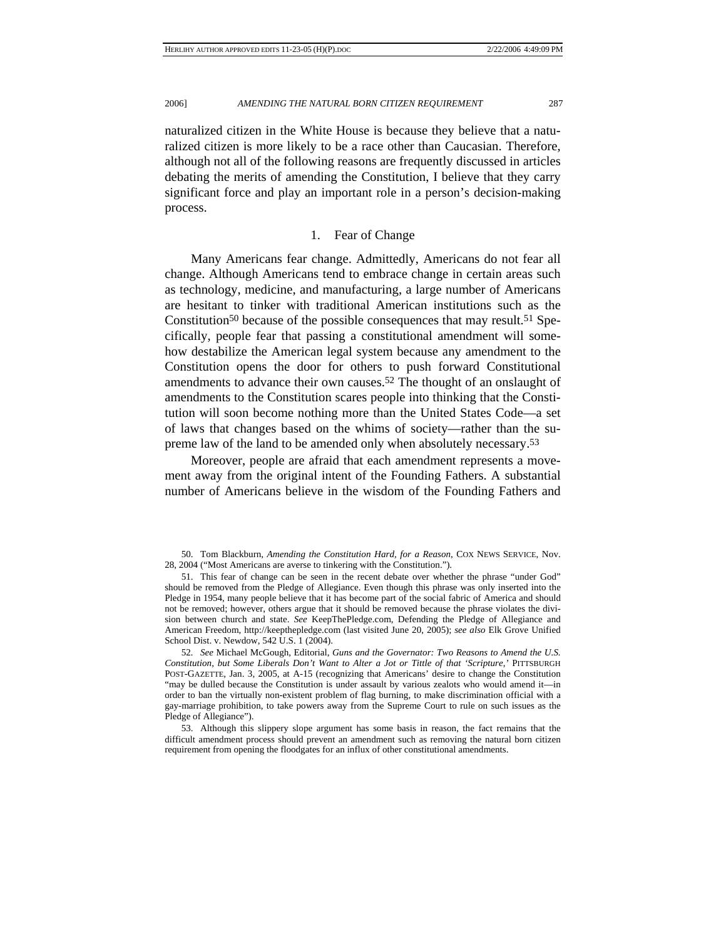naturalized citizen in the White House is because they believe that a naturalized citizen is more likely to be a race other than Caucasian. Therefore, although not all of the following reasons are frequently discussed in articles debating the merits of amending the Constitution, I believe that they carry significant force and play an important role in a person's decision-making process.

## 1. Fear of Change

Many Americans fear change. Admittedly, Americans do not fear all change. Although Americans tend to embrace change in certain areas such as technology, medicine, and manufacturing, a large number of Americans are hesitant to tinker with traditional American institutions such as the Constitution<sup>50</sup> because of the possible consequences that may result.<sup>51</sup> Specifically, people fear that passing a constitutional amendment will somehow destabilize the American legal system because any amendment to the Constitution opens the door for others to push forward Constitutional amendments to advance their own causes.52 The thought of an onslaught of amendments to the Constitution scares people into thinking that the Constitution will soon become nothing more than the United States Code—a set of laws that changes based on the whims of society—rather than the supreme law of the land to be amended only when absolutely necessary.53

Moreover, people are afraid that each amendment represents a movement away from the original intent of the Founding Fathers. A substantial number of Americans believe in the wisdom of the Founding Fathers and

 <sup>50.</sup> Tom Blackburn, *Amending the Constitution Hard, for a Reason*, COX NEWS SERVICE, Nov. 28, 2004 ("Most Americans are averse to tinkering with the Constitution.").

 <sup>51.</sup> This fear of change can be seen in the recent debate over whether the phrase "under God" should be removed from the Pledge of Allegiance. Even though this phrase was only inserted into the Pledge in 1954, many people believe that it has become part of the social fabric of America and should not be removed; however, others argue that it should be removed because the phrase violates the division between church and state. *See* KeepThePledge.com, Defending the Pledge of Allegiance and American Freedom, http://keepthepledge.com (last visited June 20, 2005); *see also* Elk Grove Unified School Dist. v. Newdow, 542 U.S. 1 (2004).

<sup>52</sup>*. See* Michael McGough, Editorial, *Guns and the Governator: Two Reasons to Amend the U.S. Constitution, but Some Liberals Don't Want to Alter a Jot or Tittle of that 'Scripture*,*'* PITTSBURGH POST-GAZETTE, Jan. 3, 2005, at A-15 (recognizing that Americans' desire to change the Constitution "may be dulled because the Constitution is under assault by various zealots who would amend it—in order to ban the virtually non-existent problem of flag burning, to make discrimination official with a gay-marriage prohibition, to take powers away from the Supreme Court to rule on such issues as the Pledge of Allegiance").

 <sup>53.</sup> Although this slippery slope argument has some basis in reason, the fact remains that the difficult amendment process should prevent an amendment such as removing the natural born citizen requirement from opening the floodgates for an influx of other constitutional amendments.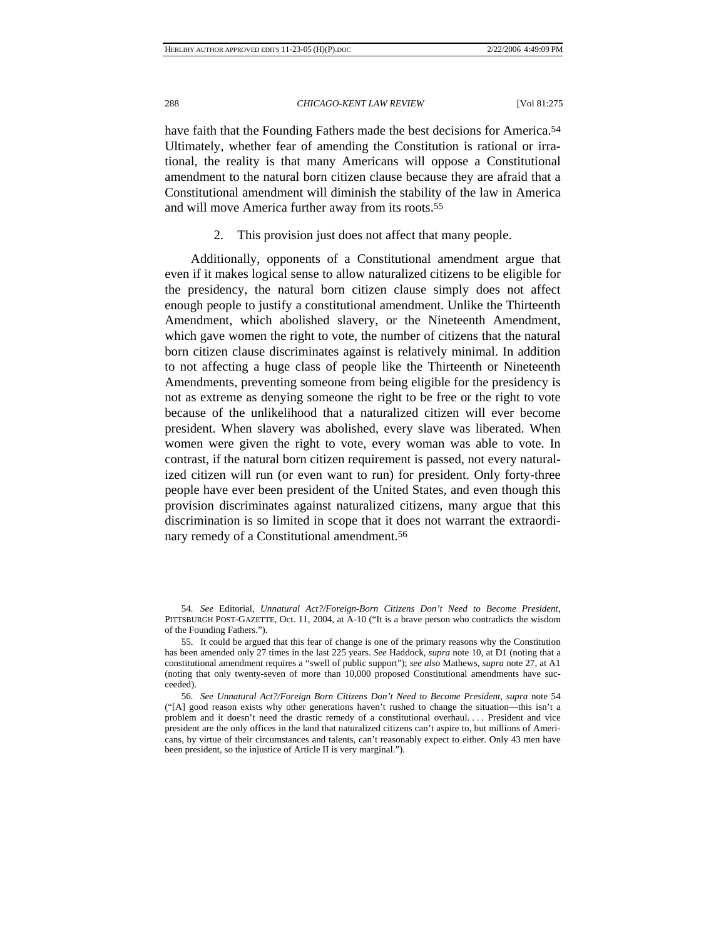have faith that the Founding Fathers made the best decisions for America.<sup>54</sup> Ultimately, whether fear of amending the Constitution is rational or irrational, the reality is that many Americans will oppose a Constitutional amendment to the natural born citizen clause because they are afraid that a Constitutional amendment will diminish the stability of the law in America and will move America further away from its roots.55

2. This provision just does not affect that many people.

Additionally, opponents of a Constitutional amendment argue that even if it makes logical sense to allow naturalized citizens to be eligible for the presidency, the natural born citizen clause simply does not affect enough people to justify a constitutional amendment. Unlike the Thirteenth Amendment, which abolished slavery, or the Nineteenth Amendment, which gave women the right to vote, the number of citizens that the natural born citizen clause discriminates against is relatively minimal. In addition to not affecting a huge class of people like the Thirteenth or Nineteenth Amendments, preventing someone from being eligible for the presidency is not as extreme as denying someone the right to be free or the right to vote because of the unlikelihood that a naturalized citizen will ever become president. When slavery was abolished, every slave was liberated. When women were given the right to vote, every woman was able to vote. In contrast, if the natural born citizen requirement is passed, not every naturalized citizen will run (or even want to run) for president. Only forty-three people have ever been president of the United States, and even though this provision discriminates against naturalized citizens, many argue that this discrimination is so limited in scope that it does not warrant the extraordinary remedy of a Constitutional amendment.56

<sup>54</sup>*. See* Editorial, *Unnatural Act?/Foreign-Born Citizens Don't Need to Become President*, PITTSBURGH POST-GAZETTE, Oct. 11, 2004, at A-10 ("It is a brave person who contradicts the wisdom of the Founding Fathers.").

 <sup>55.</sup> It could be argued that this fear of change is one of the primary reasons why the Constitution has been amended only 27 times in the last 225 years. *See* Haddock, *supra* note 10, at D1 (noting that a constitutional amendment requires a "swell of public support"); *see also* Mathews, *supra* note 27, at A1 (noting that only twenty-seven of more than 10,000 proposed Constitutional amendments have succeeded).

<sup>56</sup>*. See Unnatural Act?/Foreign Born Citizens Don't Need to Become President*, *supra* note 54 ("[A] good reason exists why other generations haven't rushed to change the situation—this isn't a problem and it doesn't need the drastic remedy of a constitutional overhaul. . . . President and vice president are the only offices in the land that naturalized citizens can't aspire to, but millions of Americans, by virtue of their circumstances and talents, can't reasonably expect to either. Only 43 men have been president, so the injustice of Article II is very marginal.").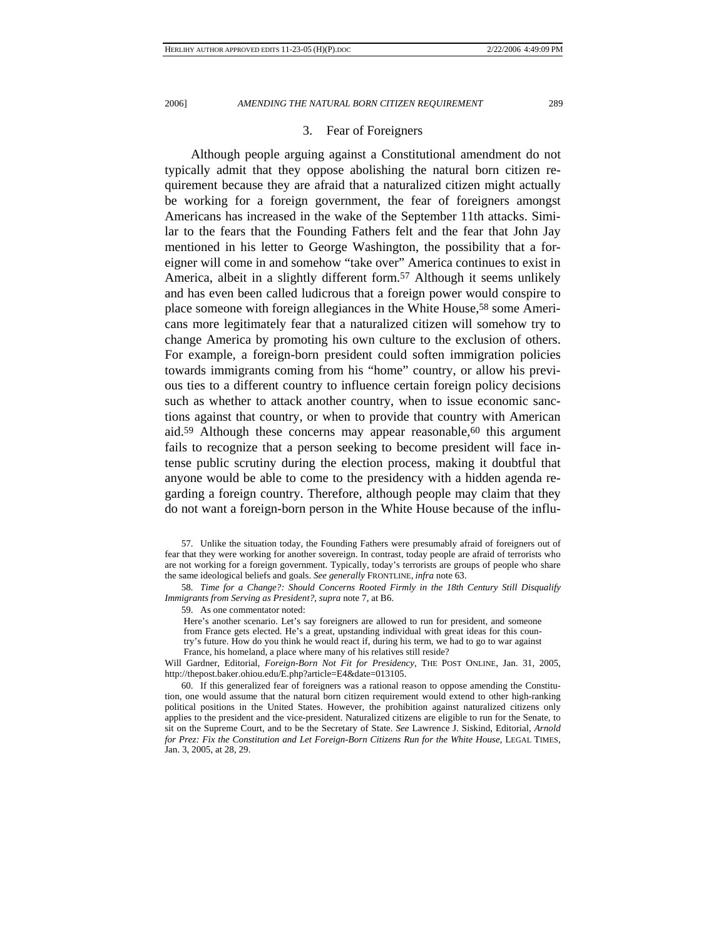## 3. Fear of Foreigners

Although people arguing against a Constitutional amendment do not typically admit that they oppose abolishing the natural born citizen requirement because they are afraid that a naturalized citizen might actually be working for a foreign government, the fear of foreigners amongst Americans has increased in the wake of the September 11th attacks. Similar to the fears that the Founding Fathers felt and the fear that John Jay mentioned in his letter to George Washington, the possibility that a foreigner will come in and somehow "take over" America continues to exist in America, albeit in a slightly different form.57 Although it seems unlikely and has even been called ludicrous that a foreign power would conspire to place someone with foreign allegiances in the White House,58 some Americans more legitimately fear that a naturalized citizen will somehow try to change America by promoting his own culture to the exclusion of others. For example, a foreign-born president could soften immigration policies towards immigrants coming from his "home" country, or allow his previous ties to a different country to influence certain foreign policy decisions such as whether to attack another country, when to issue economic sanctions against that country, or when to provide that country with American aid.<sup>59</sup> Although these concerns may appear reasonable,<sup>60</sup> this argument fails to recognize that a person seeking to become president will face intense public scrutiny during the election process, making it doubtful that anyone would be able to come to the presidency with a hidden agenda regarding a foreign country. Therefore, although people may claim that they do not want a foreign-born person in the White House because of the influ-

58*. Time for a Change?: Should Concerns Rooted Firmly in the 18th Century Still Disqualify Immigrants from Serving as President?*, *supra* note 7, at B6.

59. As one commentator noted:

Here's another scenario. Let's say foreigners are allowed to run for president, and someone from France gets elected. He's a great, upstanding individual with great ideas for this coun-

try's future. How do you think he would react if, during his term, we had to go to war against

France, his homeland, a place where many of his relatives still reside?

Will Gardner, Editorial, *Foreign-Born Not Fit for Presidency*, THE POST ONLINE, Jan. 31, 2005, http://thepost.baker.ohiou.edu/E.php?article=E4&date=013105.

 60. If this generalized fear of foreigners was a rational reason to oppose amending the Constitution, one would assume that the natural born citizen requirement would extend to other high-ranking political positions in the United States. However, the prohibition against naturalized citizens only applies to the president and the vice-president. Naturalized citizens are eligible to run for the Senate, to sit on the Supreme Court, and to be the Secretary of State. *See* Lawrence J. Siskind, Editorial, *Arnold*  for Prez: Fix the Constitution and Let Foreign-Born Citizens Run for the White House, LEGAL TIMES, Jan. 3, 2005, at 28, 29.

 <sup>57.</sup> Unlike the situation today, the Founding Fathers were presumably afraid of foreigners out of fear that they were working for another sovereign. In contrast, today people are afraid of terrorists who are not working for a foreign government. Typically, today's terrorists are groups of people who share the same ideological beliefs and goals. *See generally* FRONTLINE, *infra* note 63.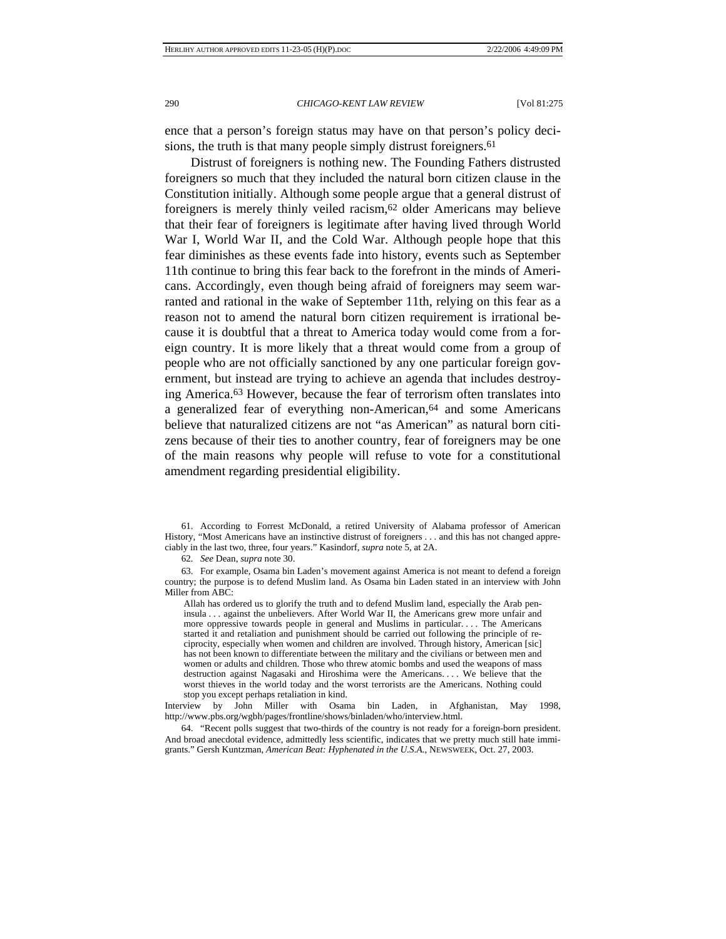ence that a person's foreign status may have on that person's policy decisions, the truth is that many people simply distrust foreigners.<sup>61</sup>

Distrust of foreigners is nothing new. The Founding Fathers distrusted foreigners so much that they included the natural born citizen clause in the Constitution initially. Although some people argue that a general distrust of foreigners is merely thinly veiled racism,62 older Americans may believe that their fear of foreigners is legitimate after having lived through World War I, World War II, and the Cold War. Although people hope that this fear diminishes as these events fade into history, events such as September 11th continue to bring this fear back to the forefront in the minds of Americans. Accordingly, even though being afraid of foreigners may seem warranted and rational in the wake of September 11th, relying on this fear as a reason not to amend the natural born citizen requirement is irrational because it is doubtful that a threat to America today would come from a foreign country. It is more likely that a threat would come from a group of people who are not officially sanctioned by any one particular foreign government, but instead are trying to achieve an agenda that includes destroying America.63 However, because the fear of terrorism often translates into a generalized fear of everything non-American,64 and some Americans believe that naturalized citizens are not "as American" as natural born citizens because of their ties to another country, fear of foreigners may be one of the main reasons why people will refuse to vote for a constitutional amendment regarding presidential eligibility.

 61. According to Forrest McDonald, a retired University of Alabama professor of American History, "Most Americans have an instinctive distrust of foreigners . . . and this has not changed appreciably in the last two, three, four years." Kasindorf, *supra* note 5, at 2A.

62*. See* Dean, *supra* note 30.

 63. For example, Osama bin Laden's movement against America is not meant to defend a foreign country; the purpose is to defend Muslim land. As Osama bin Laden stated in an interview with John Miller from ABC:

Allah has ordered us to glorify the truth and to defend Muslim land, especially the Arab peninsula . . . against the unbelievers. After World War II, the Americans grew more unfair and more oppressive towards people in general and Muslims in particular. . . . The Americans started it and retaliation and punishment should be carried out following the principle of reciprocity, especially when women and children are involved. Through history, American [sic] has not been known to differentiate between the military and the civilians or between men and women or adults and children. Those who threw atomic bombs and used the weapons of mass destruction against Nagasaki and Hiroshima were the Americans. . . . We believe that the worst thieves in the world today and the worst terrorists are the Americans. Nothing could stop you except perhaps retaliation in kind.

Interview by John Miller with Osama bin Laden, in Afghanistan, May 1998, http://www.pbs.org/wgbh/pages/frontline/shows/binladen/who/interview.html.

 64. "Recent polls suggest that two-thirds of the country is not ready for a foreign-born president. And broad anecdotal evidence, admittedly less scientific, indicates that we pretty much still hate immigrants." Gersh Kuntzman, *American Beat: Hyphenated in the U.S.A.*, NEWSWEEK, Oct. 27, 2003.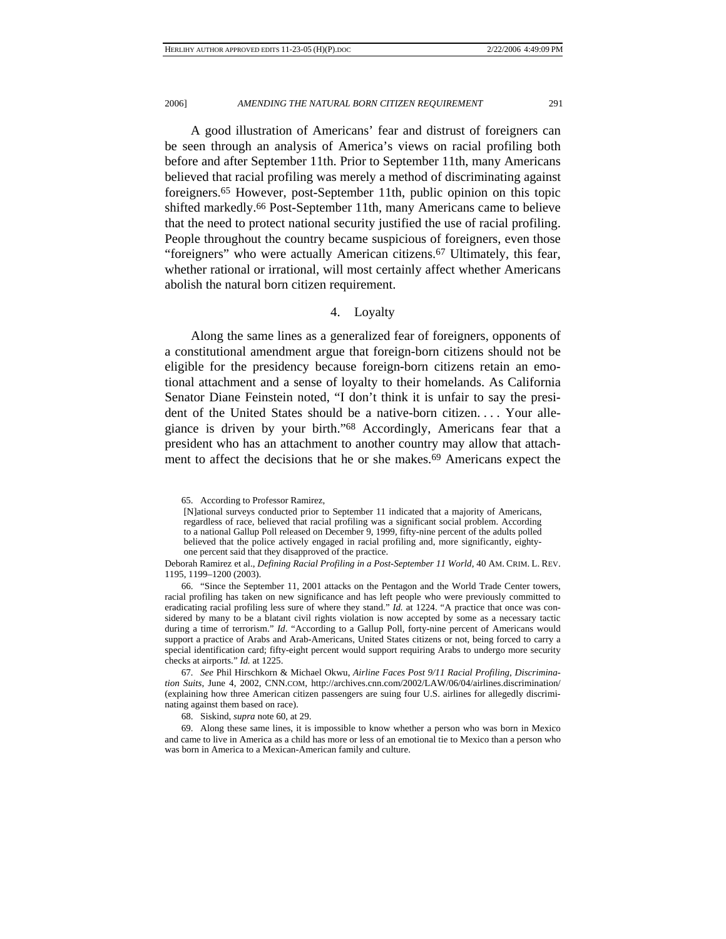A good illustration of Americans' fear and distrust of foreigners can be seen through an analysis of America's views on racial profiling both before and after September 11th. Prior to September 11th, many Americans believed that racial profiling was merely a method of discriminating against foreigners.65 However, post-September 11th, public opinion on this topic shifted markedly.66 Post-September 11th, many Americans came to believe that the need to protect national security justified the use of racial profiling. People throughout the country became suspicious of foreigners, even those "foreigners" who were actually American citizens.67 Ultimately, this fear, whether rational or irrational, will most certainly affect whether Americans abolish the natural born citizen requirement.

# 4. Loyalty

Along the same lines as a generalized fear of foreigners, opponents of a constitutional amendment argue that foreign-born citizens should not be eligible for the presidency because foreign-born citizens retain an emotional attachment and a sense of loyalty to their homelands. As California Senator Diane Feinstein noted, "I don't think it is unfair to say the president of the United States should be a native-born citizen. . . . Your allegiance is driven by your birth."68 Accordingly, Americans fear that a president who has an attachment to another country may allow that attachment to affect the decisions that he or she makes.69 Americans expect the

Deborah Ramirez et al., *Defining Racial Profiling in a Post-September 11 World*, 40 AM. CRIM. L. REV. 1195, 1199–1200 (2003).

 66. "Since the September 11, 2001 attacks on the Pentagon and the World Trade Center towers, racial profiling has taken on new significance and has left people who were previously committed to eradicating racial profiling less sure of where they stand." *Id.* at 1224. "A practice that once was considered by many to be a blatant civil rights violation is now accepted by some as a necessary tactic during a time of terrorism." *Id*. "According to a Gallup Poll, forty-nine percent of Americans would support a practice of Arabs and Arab-Americans, United States citizens or not, being forced to carry a special identification card; fifty-eight percent would support requiring Arabs to undergo more security checks at airports." *Id.* at 1225.

67*. See* Phil Hirschkorn & Michael Okwu, *Airline Faces Post 9/11 Racial Profiling, Discrimination Suits*, June 4, 2002, CNN.COM, http://archives.cnn.com/2002/LAW/06/04/airlines.discrimination/ (explaining how three American citizen passengers are suing four U.S. airlines for allegedly discriminating against them based on race).

68. Siskind, *supra* note 60, at 29.

 69. Along these same lines, it is impossible to know whether a person who was born in Mexico and came to live in America as a child has more or less of an emotional tie to Mexico than a person who was born in America to a Mexican-American family and culture.

 <sup>65.</sup> According to Professor Ramirez,

<sup>[</sup>N]ational surveys conducted prior to September 11 indicated that a majority of Americans, regardless of race, believed that racial profiling was a significant social problem. According to a national Gallup Poll released on December 9, 1999, fifty-nine percent of the adults polled believed that the police actively engaged in racial profiling and, more significantly, eightyone percent said that they disapproved of the practice.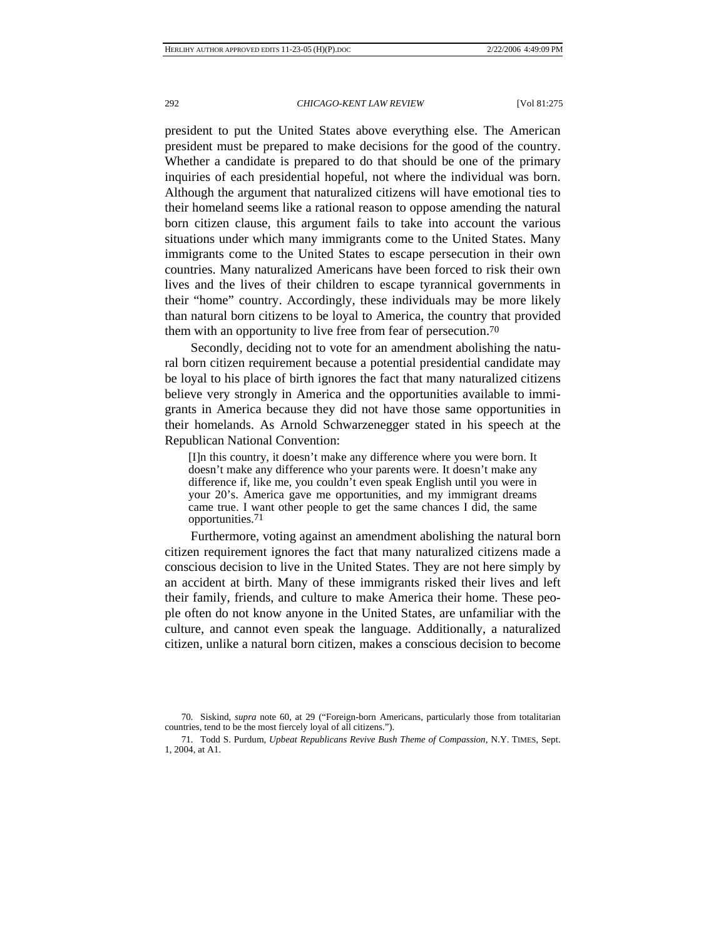president to put the United States above everything else. The American president must be prepared to make decisions for the good of the country. Whether a candidate is prepared to do that should be one of the primary inquiries of each presidential hopeful, not where the individual was born. Although the argument that naturalized citizens will have emotional ties to their homeland seems like a rational reason to oppose amending the natural born citizen clause, this argument fails to take into account the various situations under which many immigrants come to the United States. Many immigrants come to the United States to escape persecution in their own countries. Many naturalized Americans have been forced to risk their own lives and the lives of their children to escape tyrannical governments in their "home" country. Accordingly, these individuals may be more likely than natural born citizens to be loyal to America, the country that provided them with an opportunity to live free from fear of persecution.70

Secondly, deciding not to vote for an amendment abolishing the natural born citizen requirement because a potential presidential candidate may be loyal to his place of birth ignores the fact that many naturalized citizens believe very strongly in America and the opportunities available to immigrants in America because they did not have those same opportunities in their homelands. As Arnold Schwarzenegger stated in his speech at the Republican National Convention:

[I]n this country, it doesn't make any difference where you were born. It doesn't make any difference who your parents were. It doesn't make any difference if, like me, you couldn't even speak English until you were in your 20's. America gave me opportunities, and my immigrant dreams came true. I want other people to get the same chances I did, the same opportunities.71

Furthermore, voting against an amendment abolishing the natural born citizen requirement ignores the fact that many naturalized citizens made a conscious decision to live in the United States. They are not here simply by an accident at birth. Many of these immigrants risked their lives and left their family, friends, and culture to make America their home. These people often do not know anyone in the United States, are unfamiliar with the culture, and cannot even speak the language. Additionally, a naturalized citizen, unlike a natural born citizen, makes a conscious decision to become

<sup>70</sup>*.* Siskind, *supra* note 60, at 29 ("Foreign-born Americans, particularly those from totalitarian countries, tend to be the most fiercely loyal of all citizens.").

 <sup>71.</sup> Todd S. Purdum, *Upbeat Republicans Revive Bush Theme of Compassion*, N.Y. TIMES, Sept. 1, 2004, at A1.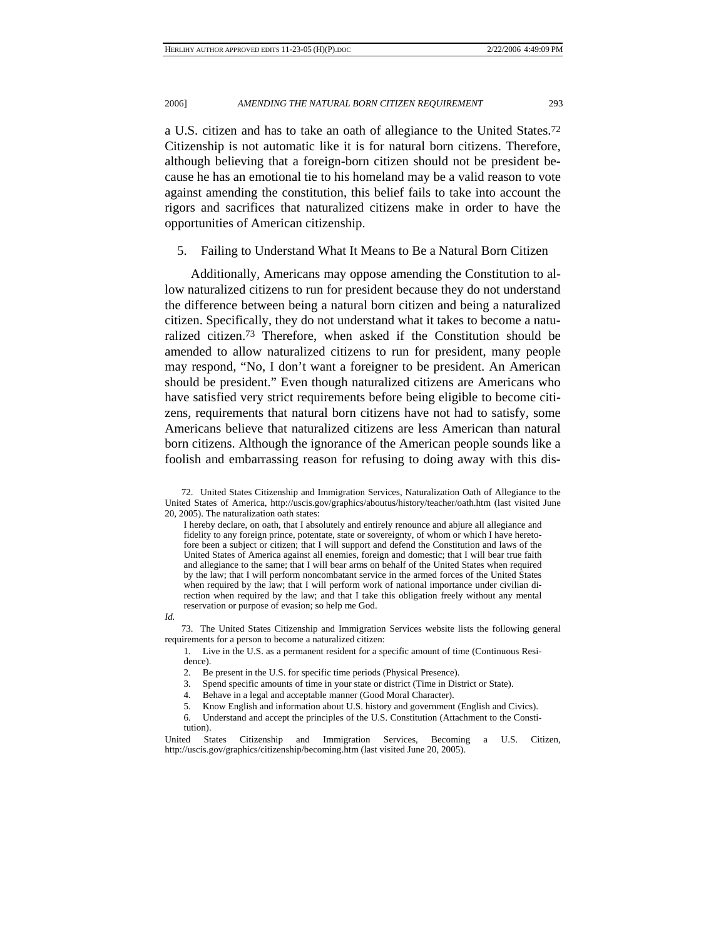a U.S. citizen and has to take an oath of allegiance to the United States.72 Citizenship is not automatic like it is for natural born citizens. Therefore, although believing that a foreign-born citizen should not be president because he has an emotional tie to his homeland may be a valid reason to vote against amending the constitution, this belief fails to take into account the rigors and sacrifices that naturalized citizens make in order to have the opportunities of American citizenship.

5. Failing to Understand What It Means to Be a Natural Born Citizen

Additionally, Americans may oppose amending the Constitution to allow naturalized citizens to run for president because they do not understand the difference between being a natural born citizen and being a naturalized citizen. Specifically, they do not understand what it takes to become a naturalized citizen.73 Therefore, when asked if the Constitution should be amended to allow naturalized citizens to run for president, many people may respond, "No, I don't want a foreigner to be president. An American should be president." Even though naturalized citizens are Americans who have satisfied very strict requirements before being eligible to become citizens, requirements that natural born citizens have not had to satisfy, some Americans believe that naturalized citizens are less American than natural born citizens. Although the ignorance of the American people sounds like a foolish and embarrassing reason for refusing to doing away with this dis-

I hereby declare, on oath, that I absolutely and entirely renounce and abjure all allegiance and fidelity to any foreign prince, potentate, state or sovereignty, of whom or which I have heretofore been a subject or citizen; that I will support and defend the Constitution and laws of the United States of America against all enemies, foreign and domestic; that I will bear true faith and allegiance to the same; that I will bear arms on behalf of the United States when required by the law; that I will perform noncombatant service in the armed forces of the United States when required by the law; that I will perform work of national importance under civilian direction when required by the law; and that I take this obligation freely without any mental reservation or purpose of evasion; so help me God.

*Id.*

 73. The United States Citizenship and Immigration Services website lists the following general requirements for a person to become a naturalized citizen:

1. Live in the U.S. as a permanent resident for a specific amount of time (Continuous Residence).

2. Be present in the U.S. for specific time periods (Physical Presence).

3. Spend specific amounts of time in your state or district (Time in District or State).

4. Behave in a legal and acceptable manner (Good Moral Character).

5. Know English and information about U.S. history and government (English and Civics).

6. Understand and accept the principles of the U.S. Constitution (Attachment to the Constitution).

United States Citizenship and Immigration Services, Becoming a U.S. Citizen, http://uscis.gov/graphics/citizenship/becoming.htm (last visited June 20, 2005).

 <sup>72.</sup> United States Citizenship and Immigration Services, Naturalization Oath of Allegiance to the United States of America, http://uscis.gov/graphics/aboutus/history/teacher/oath.htm (last visited June 20, 2005). The naturalization oath states: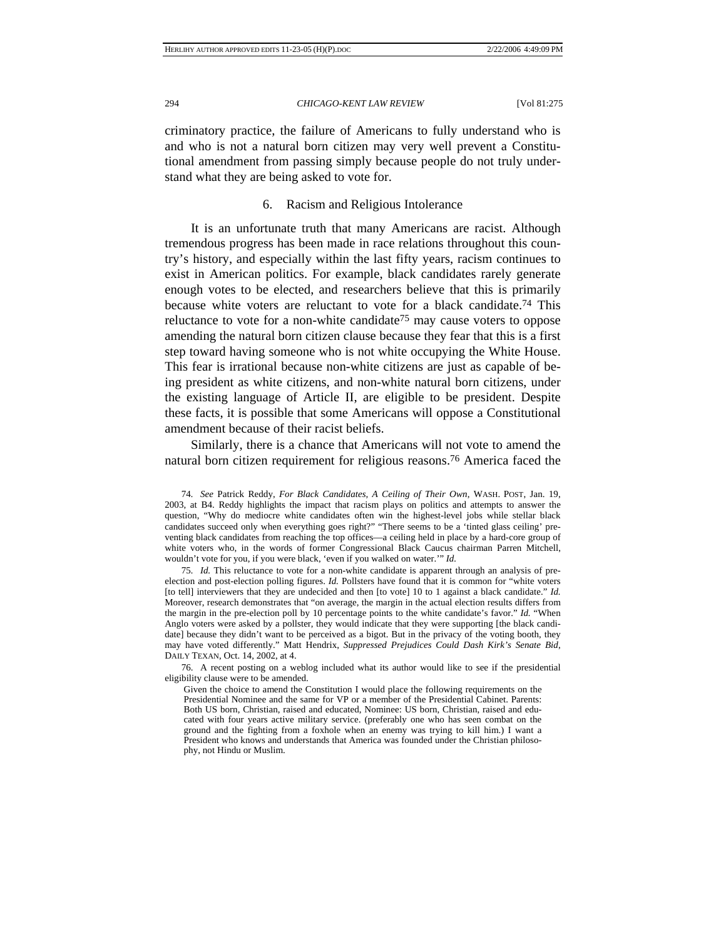criminatory practice, the failure of Americans to fully understand who is and who is not a natural born citizen may very well prevent a Constitutional amendment from passing simply because people do not truly understand what they are being asked to vote for.

## 6. Racism and Religious Intolerance

It is an unfortunate truth that many Americans are racist. Although tremendous progress has been made in race relations throughout this country's history, and especially within the last fifty years, racism continues to exist in American politics. For example, black candidates rarely generate enough votes to be elected, and researchers believe that this is primarily because white voters are reluctant to vote for a black candidate.74 This reluctance to vote for a non-white candidate75 may cause voters to oppose amending the natural born citizen clause because they fear that this is a first step toward having someone who is not white occupying the White House. This fear is irrational because non-white citizens are just as capable of being president as white citizens, and non-white natural born citizens, under the existing language of Article II, are eligible to be president. Despite these facts, it is possible that some Americans will oppose a Constitutional amendment because of their racist beliefs.

Similarly, there is a chance that Americans will not vote to amend the natural born citizen requirement for religious reasons.76 America faced the

74*. See* Patrick Reddy, *For Black Candidates, A Ceiling of Their Own*, WASH. POST, Jan. 19, 2003, at B4. Reddy highlights the impact that racism plays on politics and attempts to answer the question, "Why do mediocre white candidates often win the highest-level jobs while stellar black candidates succeed only when everything goes right?" "There seems to be a 'tinted glass ceiling' preventing black candidates from reaching the top offices—a ceiling held in place by a hard-core group of white voters who, in the words of former Congressional Black Caucus chairman Parren Mitchell, wouldn't vote for you, if you were black, 'even if you walked on water.'" *Id.* 

75*. Id.* This reluctance to vote for a non-white candidate is apparent through an analysis of preelection and post-election polling figures. *Id.* Pollsters have found that it is common for "white voters [to tell] interviewers that they are undecided and then [to vote] 10 to 1 against a black candidate." *Id.*  Moreover, research demonstrates that "on average, the margin in the actual election results differs from the margin in the pre-election poll by 10 percentage points to the white candidate's favor." *Id.* "When Anglo voters were asked by a pollster, they would indicate that they were supporting [the black candidate] because they didn't want to be perceived as a bigot. But in the privacy of the voting booth, they may have voted differently." Matt Hendrix, *Suppressed Prejudices Could Dash Kirk's Senate Bid*, DAILY TEXAN, Oct. 14, 2002, at 4.

 76. A recent posting on a weblog included what its author would like to see if the presidential eligibility clause were to be amended.

Given the choice to amend the Constitution I would place the following requirements on the Presidential Nominee and the same for VP or a member of the Presidential Cabinet. Parents: Both US born, Christian, raised and educated, Nominee: US born, Christian, raised and educated with four years active military service. (preferably one who has seen combat on the ground and the fighting from a foxhole when an enemy was trying to kill him.) I want a President who knows and understands that America was founded under the Christian philosophy, not Hindu or Muslim.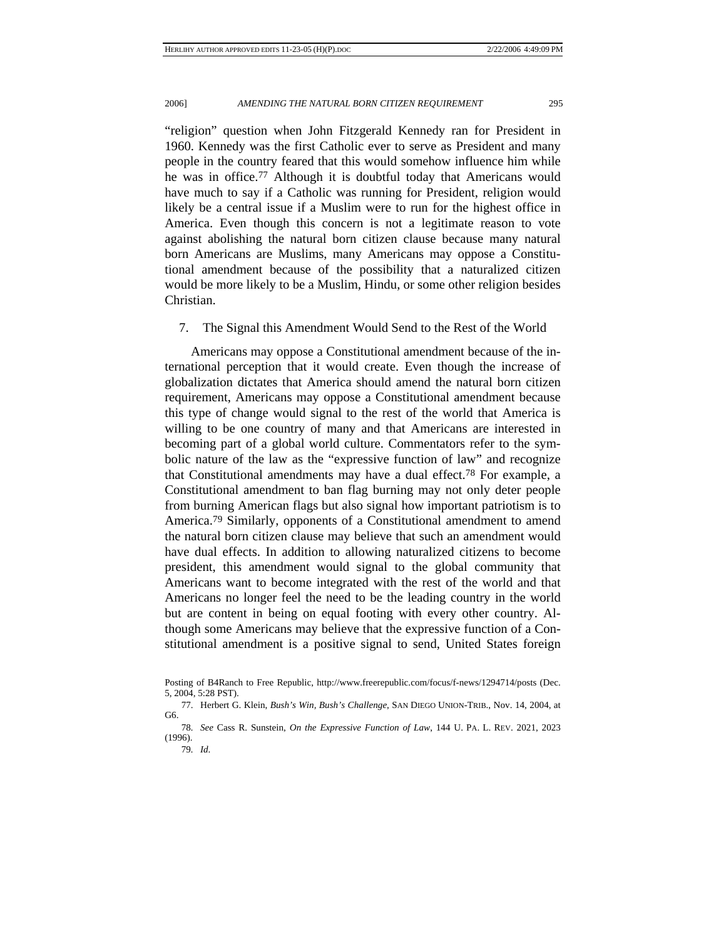"religion" question when John Fitzgerald Kennedy ran for President in 1960. Kennedy was the first Catholic ever to serve as President and many people in the country feared that this would somehow influence him while he was in office.77 Although it is doubtful today that Americans would have much to say if a Catholic was running for President, religion would likely be a central issue if a Muslim were to run for the highest office in America. Even though this concern is not a legitimate reason to vote against abolishing the natural born citizen clause because many natural born Americans are Muslims, many Americans may oppose a Constitutional amendment because of the possibility that a naturalized citizen would be more likely to be a Muslim, Hindu, or some other religion besides Christian.

## 7. The Signal this Amendment Would Send to the Rest of the World

Americans may oppose a Constitutional amendment because of the international perception that it would create. Even though the increase of globalization dictates that America should amend the natural born citizen requirement, Americans may oppose a Constitutional amendment because this type of change would signal to the rest of the world that America is willing to be one country of many and that Americans are interested in becoming part of a global world culture. Commentators refer to the symbolic nature of the law as the "expressive function of law" and recognize that Constitutional amendments may have a dual effect.78 For example, a Constitutional amendment to ban flag burning may not only deter people from burning American flags but also signal how important patriotism is to America.79 Similarly, opponents of a Constitutional amendment to amend the natural born citizen clause may believe that such an amendment would have dual effects. In addition to allowing naturalized citizens to become president, this amendment would signal to the global community that Americans want to become integrated with the rest of the world and that Americans no longer feel the need to be the leading country in the world but are content in being on equal footing with every other country. Although some Americans may believe that the expressive function of a Constitutional amendment is a positive signal to send, United States foreign

Posting of B4Ranch to Free Republic, http://www.freerepublic.com/focus/f-news/1294714/posts (Dec. 5, 2004, 5:28 PST).

 <sup>77.</sup> Herbert G. Klein, *Bush's Win, Bush's Challenge*, SAN DIEGO UNION-TRIB., Nov. 14, 2004, at G6.

<sup>78</sup>*. See* Cass R. Sunstein, *On the Expressive Function of Law*, 144 U. PA. L. REV. 2021, 2023 (1996).

<sup>79</sup>*. Id*.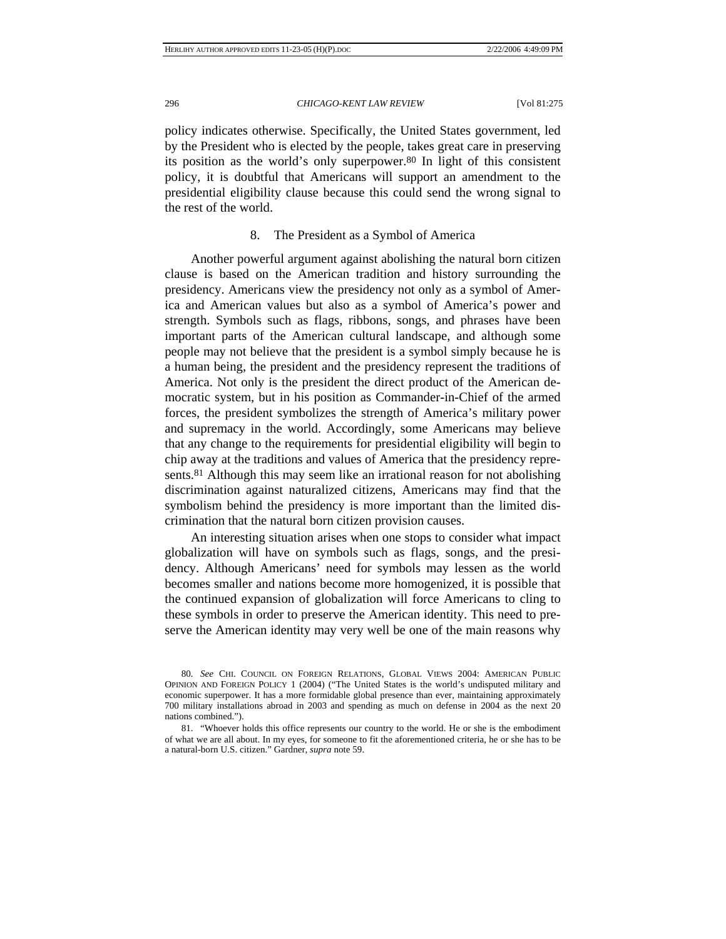policy indicates otherwise. Specifically, the United States government, led by the President who is elected by the people, takes great care in preserving its position as the world's only superpower.80 In light of this consistent policy, it is doubtful that Americans will support an amendment to the presidential eligibility clause because this could send the wrong signal to the rest of the world.

## 8. The President as a Symbol of America

Another powerful argument against abolishing the natural born citizen clause is based on the American tradition and history surrounding the presidency. Americans view the presidency not only as a symbol of America and American values but also as a symbol of America's power and strength. Symbols such as flags, ribbons, songs, and phrases have been important parts of the American cultural landscape, and although some people may not believe that the president is a symbol simply because he is a human being, the president and the presidency represent the traditions of America. Not only is the president the direct product of the American democratic system, but in his position as Commander-in-Chief of the armed forces, the president symbolizes the strength of America's military power and supremacy in the world. Accordingly, some Americans may believe that any change to the requirements for presidential eligibility will begin to chip away at the traditions and values of America that the presidency represents.<sup>81</sup> Although this may seem like an irrational reason for not abolishing discrimination against naturalized citizens, Americans may find that the symbolism behind the presidency is more important than the limited discrimination that the natural born citizen provision causes.

An interesting situation arises when one stops to consider what impact globalization will have on symbols such as flags, songs, and the presidency. Although Americans' need for symbols may lessen as the world becomes smaller and nations become more homogenized, it is possible that the continued expansion of globalization will force Americans to cling to these symbols in order to preserve the American identity. This need to preserve the American identity may very well be one of the main reasons why

<sup>80</sup>*. See* CHI. COUNCIL ON FOREIGN RELATIONS, GLOBAL VIEWS 2004: AMERICAN PUBLIC OPINION AND FOREIGN POLICY 1 (2004) ("The United States is the world's undisputed military and economic superpower. It has a more formidable global presence than ever, maintaining approximately 700 military installations abroad in 2003 and spending as much on defense in 2004 as the next 20 nations combined.").

 <sup>81. &</sup>quot;Whoever holds this office represents our country to the world. He or she is the embodiment of what we are all about. In my eyes, for someone to fit the aforementioned criteria, he or she has to be a natural-born U.S. citizen." Gardner, *supra* note 59.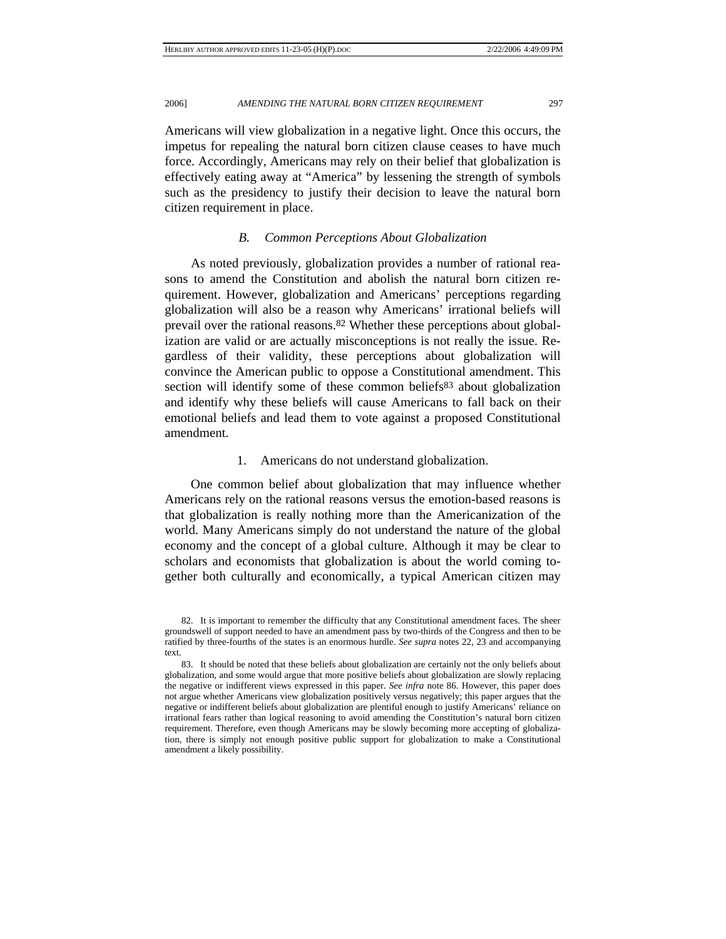Americans will view globalization in a negative light. Once this occurs, the impetus for repealing the natural born citizen clause ceases to have much force. Accordingly, Americans may rely on their belief that globalization is effectively eating away at "America" by lessening the strength of symbols such as the presidency to justify their decision to leave the natural born citizen requirement in place.

## *B. Common Perceptions About Globalization*

As noted previously, globalization provides a number of rational reasons to amend the Constitution and abolish the natural born citizen requirement. However, globalization and Americans' perceptions regarding globalization will also be a reason why Americans' irrational beliefs will prevail over the rational reasons.<sup>82</sup> Whether these perceptions about globalization are valid or are actually misconceptions is not really the issue. Regardless of their validity, these perceptions about globalization will convince the American public to oppose a Constitutional amendment. This section will identify some of these common beliefs<sup>83</sup> about globalization and identify why these beliefs will cause Americans to fall back on their emotional beliefs and lead them to vote against a proposed Constitutional amendment.

## 1. Americans do not understand globalization.

One common belief about globalization that may influence whether Americans rely on the rational reasons versus the emotion-based reasons is that globalization is really nothing more than the Americanization of the world. Many Americans simply do not understand the nature of the global economy and the concept of a global culture. Although it may be clear to scholars and economists that globalization is about the world coming together both culturally and economically, a typical American citizen may

 <sup>82.</sup> It is important to remember the difficulty that any Constitutional amendment faces. The sheer groundswell of support needed to have an amendment pass by two-thirds of the Congress and then to be ratified by three-fourths of the states is an enormous hurdle. *See supra* notes 22, 23 and accompanying text.

 <sup>83.</sup> It should be noted that these beliefs about globalization are certainly not the only beliefs about globalization, and some would argue that more positive beliefs about globalization are slowly replacing the negative or indifferent views expressed in this paper. *See infra* note 86. However, this paper does not argue whether Americans view globalization positively versus negatively; this paper argues that the negative or indifferent beliefs about globalization are plentiful enough to justify Americans' reliance on irrational fears rather than logical reasoning to avoid amending the Constitution's natural born citizen requirement. Therefore, even though Americans may be slowly becoming more accepting of globalization, there is simply not enough positive public support for globalization to make a Constitutional amendment a likely possibility.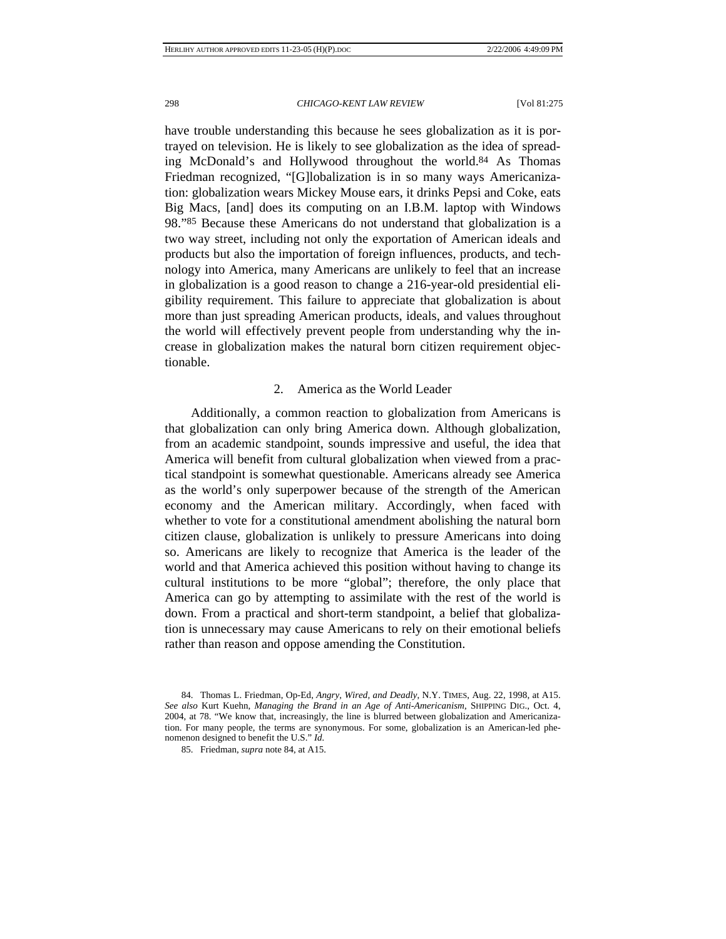have trouble understanding this because he sees globalization as it is portrayed on television. He is likely to see globalization as the idea of spreading McDonald's and Hollywood throughout the world.84 As Thomas Friedman recognized, "[G]lobalization is in so many ways Americanization: globalization wears Mickey Mouse ears, it drinks Pepsi and Coke, eats Big Macs, [and] does its computing on an I.B.M. laptop with Windows 98."85 Because these Americans do not understand that globalization is a two way street, including not only the exportation of American ideals and products but also the importation of foreign influences, products, and technology into America, many Americans are unlikely to feel that an increase in globalization is a good reason to change a 216-year-old presidential eligibility requirement. This failure to appreciate that globalization is about more than just spreading American products, ideals, and values throughout the world will effectively prevent people from understanding why the increase in globalization makes the natural born citizen requirement objectionable.

## 2. America as the World Leader

Additionally, a common reaction to globalization from Americans is that globalization can only bring America down. Although globalization, from an academic standpoint, sounds impressive and useful, the idea that America will benefit from cultural globalization when viewed from a practical standpoint is somewhat questionable. Americans already see America as the world's only superpower because of the strength of the American economy and the American military. Accordingly, when faced with whether to vote for a constitutional amendment abolishing the natural born citizen clause, globalization is unlikely to pressure Americans into doing so. Americans are likely to recognize that America is the leader of the world and that America achieved this position without having to change its cultural institutions to be more "global"; therefore, the only place that America can go by attempting to assimilate with the rest of the world is down. From a practical and short-term standpoint, a belief that globalization is unnecessary may cause Americans to rely on their emotional beliefs rather than reason and oppose amending the Constitution.

 <sup>84.</sup> Thomas L. Friedman, Op-Ed, *Angry, Wired, and Deadly*, N.Y. TIMES, Aug. 22, 1998, at A15. *See also* Kurt Kuehn, *Managing the Brand in an Age of Anti-Americanism*, SHIPPING DIG., Oct. 4, 2004, at 78. "We know that, increasingly, the line is blurred between globalization and Americanization. For many people, the terms are synonymous. For some, globalization is an American-led phenomenon designed to benefit the U.S." *Id.* 

 <sup>85.</sup> Friedman, *supra* note 84, at A15.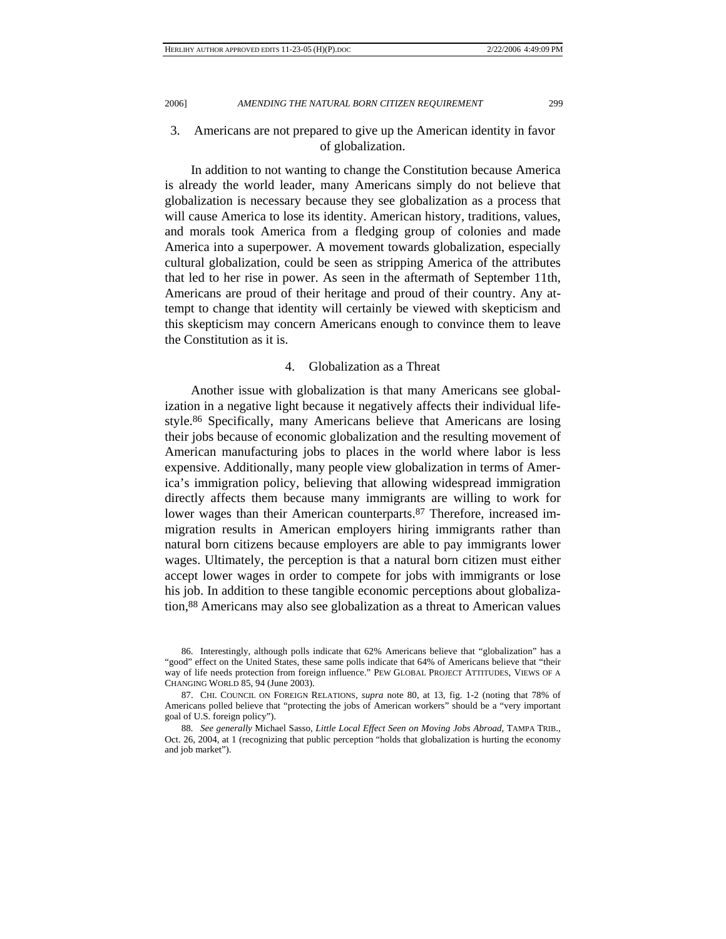## 3. Americans are not prepared to give up the American identity in favor of globalization.

In addition to not wanting to change the Constitution because America is already the world leader, many Americans simply do not believe that globalization is necessary because they see globalization as a process that will cause America to lose its identity. American history, traditions, values, and morals took America from a fledging group of colonies and made America into a superpower. A movement towards globalization, especially cultural globalization, could be seen as stripping America of the attributes that led to her rise in power. As seen in the aftermath of September 11th, Americans are proud of their heritage and proud of their country. Any attempt to change that identity will certainly be viewed with skepticism and this skepticism may concern Americans enough to convince them to leave the Constitution as it is.

## 4. Globalization as a Threat

Another issue with globalization is that many Americans see globalization in a negative light because it negatively affects their individual lifestyle.86 Specifically, many Americans believe that Americans are losing their jobs because of economic globalization and the resulting movement of American manufacturing jobs to places in the world where labor is less expensive. Additionally, many people view globalization in terms of America's immigration policy, believing that allowing widespread immigration directly affects them because many immigrants are willing to work for lower wages than their American counterparts.<sup>87</sup> Therefore, increased immigration results in American employers hiring immigrants rather than natural born citizens because employers are able to pay immigrants lower wages. Ultimately, the perception is that a natural born citizen must either accept lower wages in order to compete for jobs with immigrants or lose his job. In addition to these tangible economic perceptions about globalization,88 Americans may also see globalization as a threat to American values

 <sup>86.</sup> Interestingly, although polls indicate that 62% Americans believe that "globalization" has a "good" effect on the United States, these same polls indicate that 64% of Americans believe that "their way of life needs protection from foreign influence." PEW GLOBAL PROJECT ATTITUDES, VIEWS OF A CHANGING WORLD 85, 94 (June 2003).

 <sup>87.</sup> CHI. COUNCIL ON FOREIGN RELATIONS, *supra* note 80, at 13, fig. 1-2 (noting that 78% of Americans polled believe that "protecting the jobs of American workers" should be a "very important goal of U.S. foreign policy").

<sup>88</sup>*. See generally* Michael Sasso, *Little Local Effect Seen on Moving Jobs Abroad*, TAMPA TRIB., Oct. 26, 2004, at 1 (recognizing that public perception "holds that globalization is hurting the economy and job market").